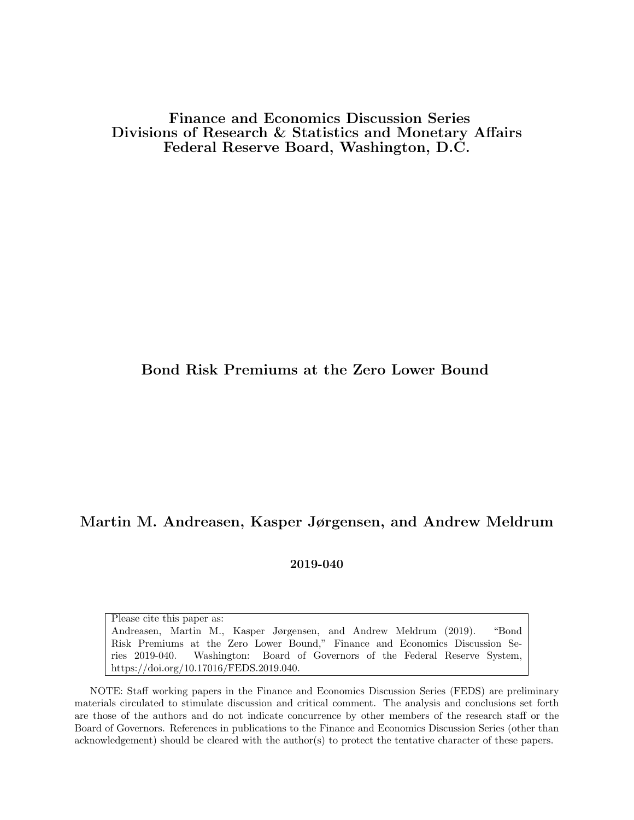Finance and Economics Discussion Series Divisions of Research & Statistics and Monetary Affairs Federal Reserve Board, Washington, D.C.

#### Bond Risk Premiums at the Zero Lower Bound

#### Martin M. Andreasen, Kasper Jørgensen, and Andrew Meldrum

2019-040

Please cite this paper as: Andreasen, Martin M., Kasper Jørgensen, and Andrew Meldrum (2019). "Bond Risk Premiums at the Zero Lower Bound," Finance and Economics Discussion Series 2019-040. Washington: Board of Governors of the Federal Reserve System, https://doi.org/10.17016/FEDS.2019.040.

NOTE: Staff working papers in the Finance and Economics Discussion Series (FEDS) are preliminary materials circulated to stimulate discussion and critical comment. The analysis and conclusions set forth are those of the authors and do not indicate concurrence by other members of the research staff or the Board of Governors. References in publications to the Finance and Economics Discussion Series (other than acknowledgement) should be cleared with the author(s) to protect the tentative character of these papers.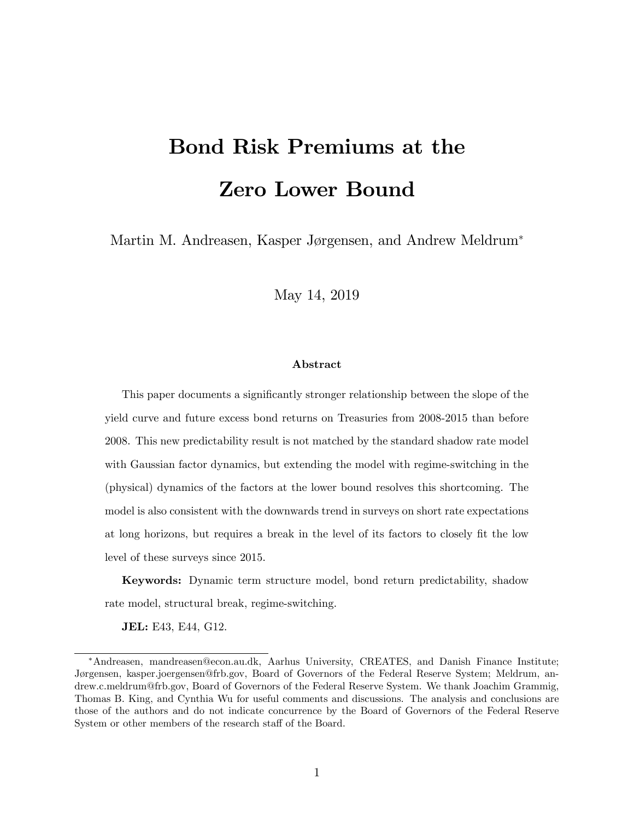# Bond Risk Premiums at the Zero Lower Bound

Martin M. Andreasen, Kasper Jørgensen, and Andrew Meldrum<sup>\*</sup>

May 14, 2019

#### Abstract

This paper documents a significantly stronger relationship between the slope of the yield curve and future excess bond returns on Treasuries from 2008-2015 than before 2008. This new predictability result is not matched by the standard shadow rate model with Gaussian factor dynamics, but extending the model with regime-switching in the (physical) dynamics of the factors at the lower bound resolves this shortcoming. The model is also consistent with the downwards trend in surveys on short rate expectations at long horizons, but requires a break in the level of its factors to closely fit the low level of these surveys since 2015.

Keywords: Dynamic term structure model, bond return predictability, shadow rate model, structural break, regime-switching.

JEL: E43, E44, G12.

Andreasen, mandreasen@econ.au.dk, Aarhus University, CREATES, and Danish Finance Institute; Jørgensen, kasper.joergensen@frb.gov, Board of Governors of the Federal Reserve System; Meldrum, andrew.c.meldrum@frb.gov, Board of Governors of the Federal Reserve System. We thank Joachim Grammig, Thomas B. King, and Cynthia Wu for useful comments and discussions. The analysis and conclusions are those of the authors and do not indicate concurrence by the Board of Governors of the Federal Reserve System or other members of the research staff of the Board.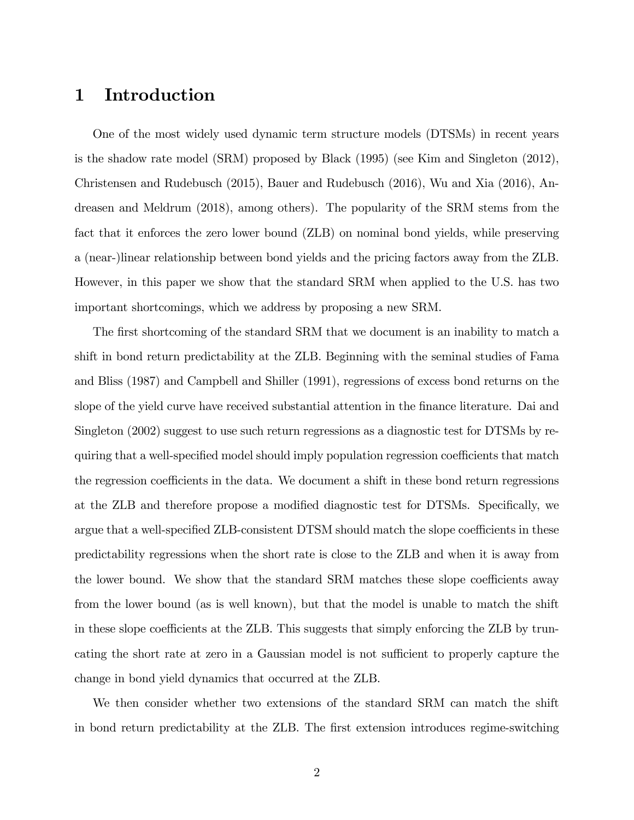# 1 Introduction

One of the most widely used dynamic term structure models (DTSMs) in recent years is the shadow rate model (SRM) proposed by Black (1995) (see Kim and Singleton (2012), Christensen and Rudebusch (2015), Bauer and Rudebusch (2016), Wu and Xia (2016), Andreasen and Meldrum (2018), among others). The popularity of the SRM stems from the fact that it enforces the zero lower bound (ZLB) on nominal bond yields, while preserving a (near-)linear relationship between bond yields and the pricing factors away from the ZLB. However, in this paper we show that the standard SRM when applied to the U.S. has two important shortcomings, which we address by proposing a new SRM.

The first shortcoming of the standard SRM that we document is an inability to match a shift in bond return predictability at the ZLB. Beginning with the seminal studies of Fama and Bliss (1987) and Campbell and Shiller (1991), regressions of excess bond returns on the slope of the yield curve have received substantial attention in the finance literature. Dai and Singleton (2002) suggest to use such return regressions as a diagnostic test for DTSMs by requiring that a well-specified model should imply population regression coefficients that match the regression coefficients in the data. We document a shift in these bond return regressions at the ZLB and therefore propose a modified diagnostic test for DTSMs. Specifically, we argue that a well-specified ZLB-consistent DTSM should match the slope coefficients in these predictability regressions when the short rate is close to the ZLB and when it is away from the lower bound. We show that the standard SRM matches these slope coefficients away from the lower bound (as is well known), but that the model is unable to match the shift in these slope coefficients at the ZLB. This suggests that simply enforcing the ZLB by truncating the short rate at zero in a Gaussian model is not sufficient to properly capture the change in bond yield dynamics that occurred at the ZLB.

We then consider whether two extensions of the standard SRM can match the shift in bond return predictability at the ZLB. The first extension introduces regime-switching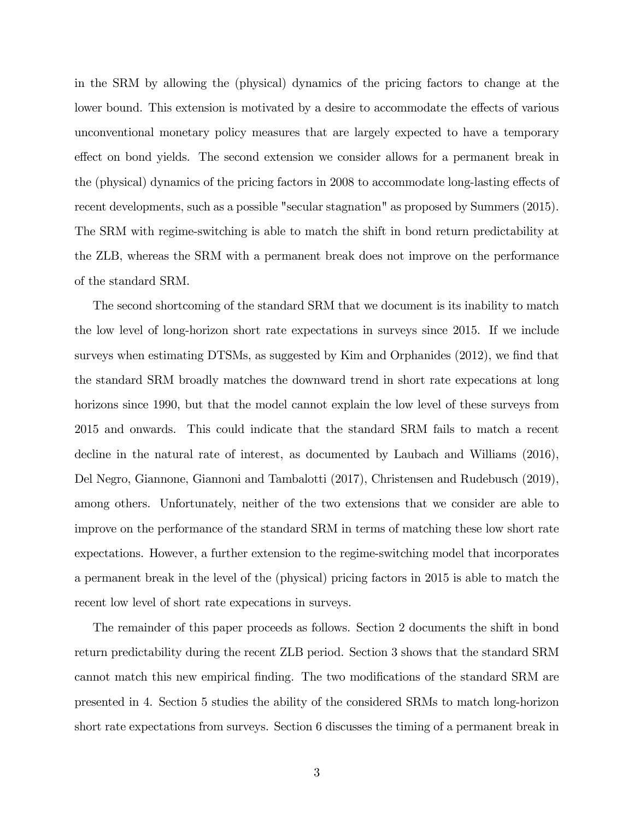in the SRM by allowing the (physical) dynamics of the pricing factors to change at the lower bound. This extension is motivated by a desire to accommodate the effects of various unconventional monetary policy measures that are largely expected to have a temporary effect on bond yields. The second extension we consider allows for a permanent break in the (physical) dynamics of the pricing factors in 2008 to accommodate long-lasting effects of recent developments, such as a possible "secular stagnation" as proposed by Summers (2015). The SRM with regime-switching is able to match the shift in bond return predictability at the ZLB, whereas the SRM with a permanent break does not improve on the performance of the standard SRM.

The second shortcoming of the standard SRM that we document is its inability to match the low level of long-horizon short rate expectations in surveys since 2015. If we include surveys when estimating DTSMs, as suggested by Kim and Orphanides  $(2012)$ , we find that the standard SRM broadly matches the downward trend in short rate expecations at long horizons since 1990, but that the model cannot explain the low level of these surveys from 2015 and onwards. This could indicate that the standard SRM fails to match a recent decline in the natural rate of interest, as documented by Laubach and Williams (2016), Del Negro, Giannone, Giannoni and Tambalotti (2017), Christensen and Rudebusch (2019), among others. Unfortunately, neither of the two extensions that we consider are able to improve on the performance of the standard SRM in terms of matching these low short rate expectations. However, a further extension to the regime-switching model that incorporates a permanent break in the level of the (physical) pricing factors in 2015 is able to match the recent low level of short rate expecations in surveys.

The remainder of this paper proceeds as follows. Section 2 documents the shift in bond return predictability during the recent ZLB period. Section 3 shows that the standard SRM cannot match this new empirical finding. The two modifications of the standard SRM are presented in 4. Section 5 studies the ability of the considered SRMs to match long-horizon short rate expectations from surveys. Section 6 discusses the timing of a permanent break in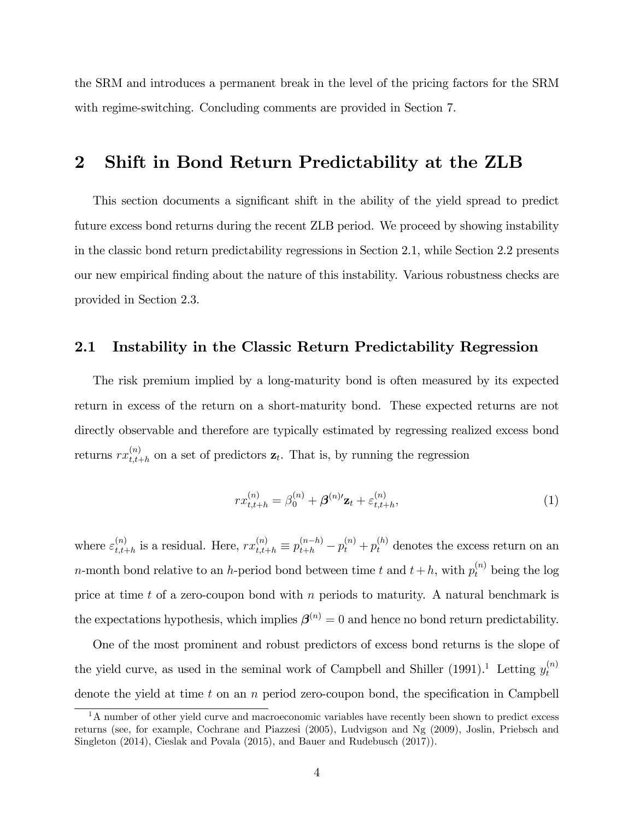the SRM and introduces a permanent break in the level of the pricing factors for the SRM with regime-switching. Concluding comments are provided in Section 7.

# 2 Shift in Bond Return Predictability at the ZLB

This section documents a significant shift in the ability of the yield spread to predict future excess bond returns during the recent ZLB period. We proceed by showing instability in the classic bond return predictability regressions in Section 2.1, while Section 2.2 presents our new empirical Önding about the nature of this instability. Various robustness checks are provided in Section 2.3.

#### 2.1 Instability in the Classic Return Predictability Regression

The risk premium implied by a long-maturity bond is often measured by its expected return in excess of the return on a short-maturity bond. These expected returns are not directly observable and therefore are typically estimated by regressing realized excess bond  $\text{returns } rx_{t.t.}^{(n)}$  $t_{t,t+h}^{(n)}$  on a set of predictors  $z_t$ . That is, by running the regression

$$
rx_{t,t+h}^{(n)} = \beta_0^{(n)} + \beta^{(n)\prime} \mathbf{z}_t + \varepsilon_{t,t+h}^{(n)},
$$
\n(1)

where  $\varepsilon_{t,t+}^{(n)}$  $t_{t,t+h}^{(n)}$  is a residual. Here,  $rx_{t,t+h}^{(n)} \equiv p_{t+h}^{(n-h)} - p_t^{(n)} + p_t^{(h)}$  denotes the excess return on an *n*-month bond relative to an *h*-period bond between time t and  $t + h$ , with  $p_t^{(n)}$  being the log price at time t of a zero-coupon bond with n periods to maturity. A natural benchmark is the expectations hypothesis, which implies  $\boldsymbol{\beta}^{(n)} = 0$  and hence no bond return predictability.

One of the most prominent and robust predictors of excess bond returns is the slope of the yield curve, as used in the seminal work of Campbell and Shiller (1991).<sup>1</sup> Letting  $y_t^{(n)}$ t denote the yield at time  $t$  on an  $n$  period zero-coupon bond, the specification in Campbell

 $1<sup>1</sup>A$  number of other yield curve and macroeconomic variables have recently been shown to predict excess returns (see, for example, Cochrane and Piazzesi (2005), Ludvigson and Ng (2009), Joslin, Priebsch and Singleton (2014), Cieslak and Povala (2015), and Bauer and Rudebusch (2017)).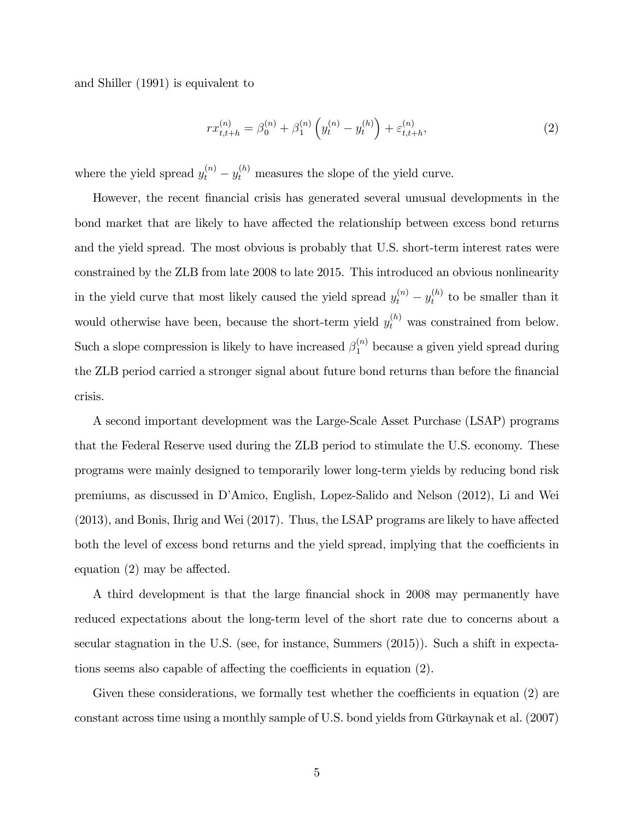and Shiller (1991) is equivalent to

$$
rx_{t,t+h}^{(n)} = \beta_0^{(n)} + \beta_1^{(n)} \left( y_t^{(n)} - y_t^{(h)} \right) + \varepsilon_{t,t+h}^{(n)}, \tag{2}
$$

where the yield spread  $y_t^{(n)} - y_t^{(h)}$  measures the slope of the yield curve.

However, the recent Önancial crisis has generated several unusual developments in the bond market that are likely to have affected the relationship between excess bond returns and the yield spread. The most obvious is probably that U.S. short-term interest rates were constrained by the ZLB from late 2008 to late 2015. This introduced an obvious nonlinearity in the yield curve that most likely caused the yield spread  $y_t^{(n)} - y_t^{(h)}$  $t^{(n)}$  to be smaller than it would otherwise have been, because the short-term yield  $y_t^{(h)}$  was constrained from below. Such a slope compression is likely to have increased  $\beta_1^{(n)}$  because a given yield spread during the ZLB period carried a stronger signal about future bond returns than before the financial crisis.

A second important development was the Large-Scale Asset Purchase (LSAP) programs that the Federal Reserve used during the ZLB period to stimulate the U.S. economy. These programs were mainly designed to temporarily lower long-term yields by reducing bond risk premiums, as discussed in DíAmico, English, Lopez-Salido and Nelson (2012), Li and Wei  $(2013)$ , and Bonis, Ihrig and Wei  $(2017)$ . Thus, the LSAP programs are likely to have affected both the level of excess bond returns and the yield spread, implying that the coefficients in equation  $(2)$  may be affected.

A third development is that the large Önancial shock in 2008 may permanently have reduced expectations about the long-term level of the short rate due to concerns about a secular stagnation in the U.S. (see, for instance, Summers (2015)). Such a shift in expectations seems also capable of affecting the coefficients in equation  $(2)$ .

Given these considerations, we formally test whether the coefficients in equation  $(2)$  are constant across time using a monthly sample of U.S. bond yields from Gürkaynak et al.  $(2007)$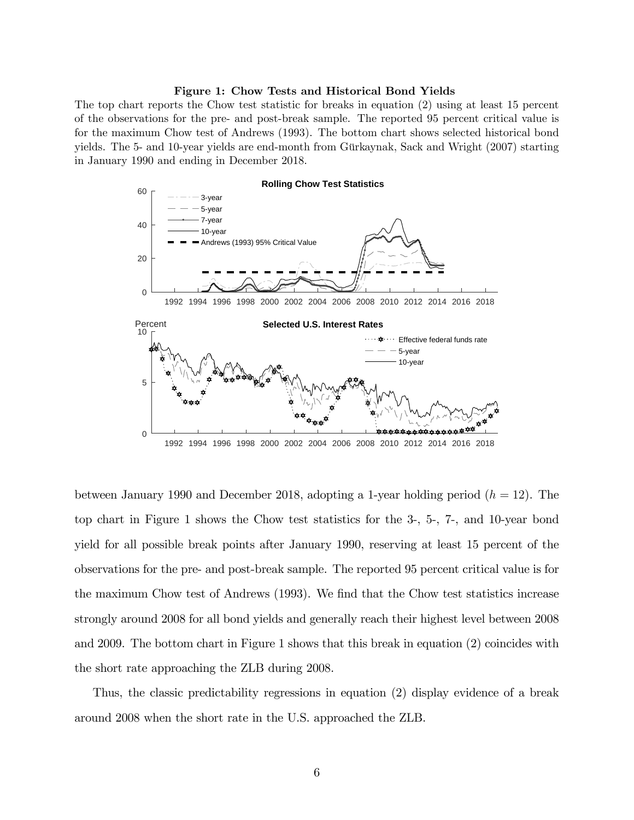#### Figure 1: Chow Tests and Historical Bond Yields

The top chart reports the Chow test statistic for breaks in equation (2) using at least 15 percent of the observations for the pre- and post-break sample. The reported 95 percent critical value is for the maximum Chow test of Andrews (1993). The bottom chart shows selected historical bond yields. The 5- and 10-year yields are end-month from Gürkaynak, Sack and Wright (2007) starting in January 1990 and ending in December 2018.



between January 1990 and December 2018, adopting a 1-year holding period  $(h = 12)$ . The top chart in Figure 1 shows the Chow test statistics for the 3-, 5-, 7-, and 10-year bond yield for all possible break points after January 1990, reserving at least 15 percent of the observations for the pre- and post-break sample. The reported 95 percent critical value is for the maximum Chow test of Andrews (1993). We find that the Chow test statistics increase strongly around 2008 for all bond yields and generally reach their highest level between 2008 and 2009. The bottom chart in Figure 1 shows that this break in equation (2) coincides with the short rate approaching the ZLB during 2008.

Thus, the classic predictability regressions in equation (2) display evidence of a break around 2008 when the short rate in the U.S. approached the ZLB.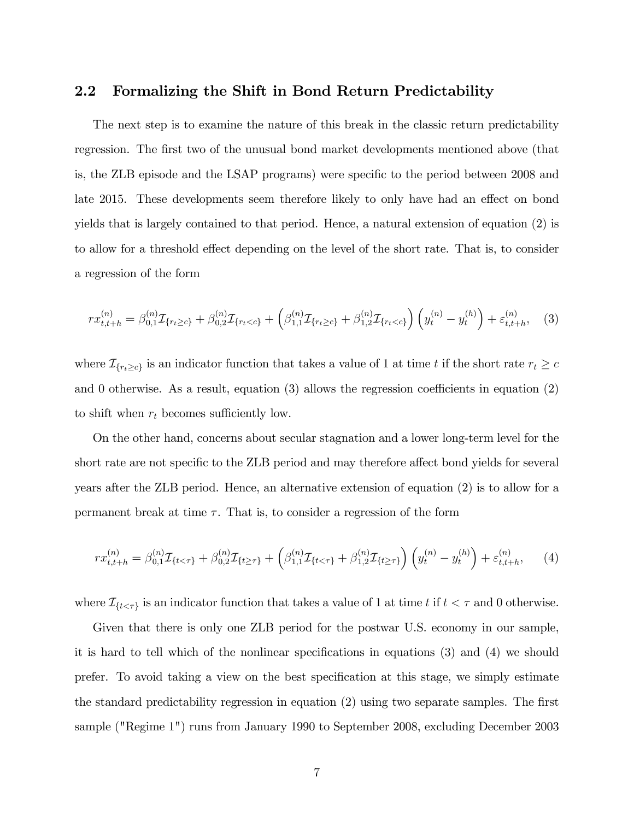#### 2.2 Formalizing the Shift in Bond Return Predictability

The next step is to examine the nature of this break in the classic return predictability regression. The first two of the unusual bond market developments mentioned above (that is, the ZLB episode and the LSAP programs) were specific to the period between 2008 and late 2015. These developments seem therefore likely to only have had an effect on bond yields that is largely contained to that period. Hence, a natural extension of equation (2) is to allow for a threshold effect depending on the level of the short rate. That is, to consider a regression of the form

$$
rx_{t,t+h}^{(n)} = \beta_{0,1}^{(n)} \mathcal{I}_{\{r_t \ge c\}} + \beta_{0,2}^{(n)} \mathcal{I}_{\{r_t < c\}} + \left(\beta_{1,1}^{(n)} \mathcal{I}_{\{r_t \ge c\}} + \beta_{1,2}^{(n)} \mathcal{I}_{\{r_t < c\}}\right) \left(y_t^{(n)} - y_t^{(h)}\right) + \varepsilon_{t,t+h}^{(n)}, \quad (3)
$$

where  $\mathcal{I}_{\{r_t \geq c\}}$  is an indicator function that takes a value of 1 at time t if the short rate  $r_t \geq c$ and 0 otherwise. As a result, equation  $(3)$  allows the regression coefficients in equation  $(2)$ to shift when  $r_t$  becomes sufficiently low.

On the other hand, concerns about secular stagnation and a lower long-term level for the short rate are not specific to the ZLB period and may therefore affect bond yields for several years after the ZLB period. Hence, an alternative extension of equation (2) is to allow for a permanent break at time  $\tau$ . That is, to consider a regression of the form

$$
rx_{t,t+h}^{(n)} = \beta_{0,1}^{(n)} \mathcal{I}_{\{t < \tau\}} + \beta_{0,2}^{(n)} \mathcal{I}_{\{t \ge \tau\}} + \left(\beta_{1,1}^{(n)} \mathcal{I}_{\{t < \tau\}} + \beta_{1,2}^{(n)} \mathcal{I}_{\{t \ge \tau\}}\right) \left(y_t^{(n)} - y_t^{(h)}\right) + \varepsilon_{t,t+h}^{(n)}, \tag{4}
$$

where  $\mathcal{I}_{\{t < \tau\}}$  is an indicator function that takes a value of 1 at time t if  $t < \tau$  and 0 otherwise.

Given that there is only one ZLB period for the postwar U.S. economy in our sample, it is hard to tell which of the nonlinear specifications in equations  $(3)$  and  $(4)$  we should prefer. To avoid taking a view on the best specification at this stage, we simply estimate the standard predictability regression in equation  $(2)$  using two separate samples. The first sample ("Regime 1") runs from January 1990 to September 2008, excluding December 2003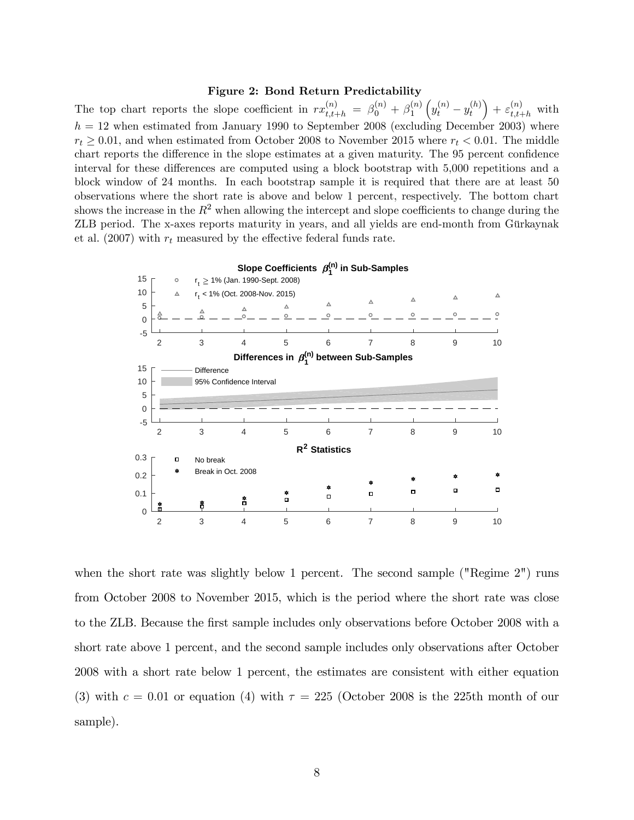#### Figure 2: Bond Return Predictability

The top chart reports the slope coefficient in  $rx_{t,t+h}^{(n)} = \beta_0^{(n)} + \beta_1^{(n)}$ 1  $\left(y_t^{(n)}-y_t^{(h)}\right)$ t  $+ \varepsilon_{t,t+h}^{(n)}$  with  $h = 12$  when estimated from January 1990 to September 2008 (excluding December 2003) where  $r_t \geq 0.01$ , and when estimated from October 2008 to November 2015 where  $r_t < 0.01$ . The middle chart reports the difference in the slope estimates at a given maturity. The 95 percent confidence interval for these differences are computed using a block bootstrap with 5,000 repetitions and a block window of 24 months. In each bootstrap sample it is required that there are at least 50 observations where the short rate is above and below 1 percent, respectively. The bottom chart shows the increase in the  $R^2$  when allowing the intercept and slope coefficients to change during the ZLB period. The x-axes reports maturity in years, and all yields are end-month from Gürkaynak et al. (2007) with  $r_t$  measured by the effective federal funds rate.



when the short rate was slightly below 1 percent. The second sample ("Regime 2") runs from October 2008 to November 2015, which is the period where the short rate was close to the ZLB. Because the Örst sample includes only observations before October 2008 with a short rate above 1 percent, and the second sample includes only observations after October 2008 with a short rate below 1 percent, the estimates are consistent with either equation (3) with  $c = 0.01$  or equation (4) with  $\tau = 225$  (October 2008 is the 225th month of our sample).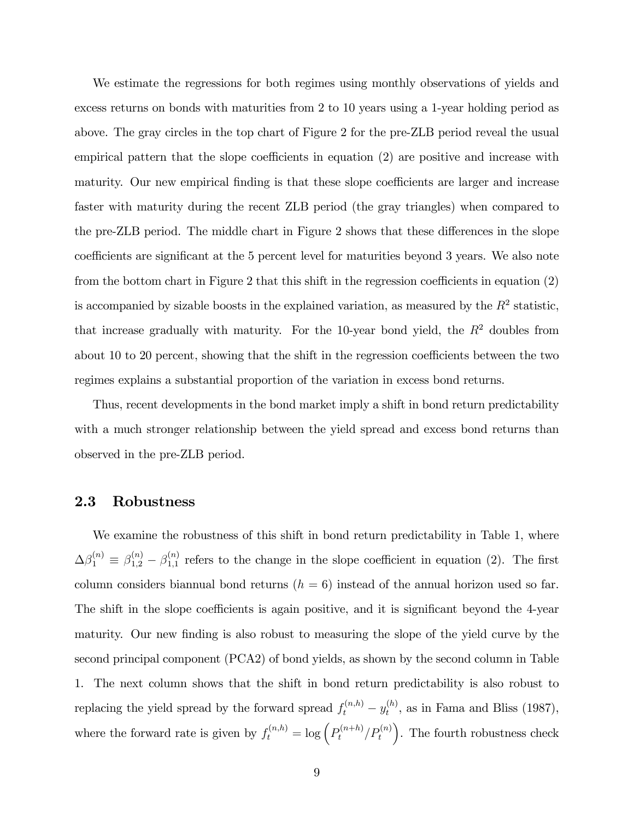We estimate the regressions for both regimes using monthly observations of yields and excess returns on bonds with maturities from 2 to 10 years using a 1-year holding period as above. The gray circles in the top chart of Figure 2 for the pre-ZLB period reveal the usual empirical pattern that the slope coefficients in equation  $(2)$  are positive and increase with maturity. Our new empirical finding is that these slope coefficients are larger and increase faster with maturity during the recent ZLB period (the gray triangles) when compared to the pre-ZLB period. The middle chart in Figure 2 shows that these differences in the slope coefficients are significant at the 5 percent level for maturities beyond 3 years. We also note from the bottom chart in Figure 2 that this shift in the regression coefficients in equation  $(2)$ is accompanied by sizable boosts in the explained variation, as measured by the  $R^2$  statistic, that increase gradually with maturity. For the 10-year bond yield, the  $R^2$  doubles from about 10 to 20 percent, showing that the shift in the regression coefficients between the two regimes explains a substantial proportion of the variation in excess bond returns.

Thus, recent developments in the bond market imply a shift in bond return predictability with a much stronger relationship between the yield spread and excess bond returns than observed in the pre-ZLB period.

#### 2.3 Robustness

We examine the robustness of this shift in bond return predictability in Table 1, where  $\Delta \beta_1^{(n)} \equiv \beta_{1,2}^{(n)} - \beta_{1,1}^{(n)}$  $\binom{n}{1,1}$  refers to the change in the slope coefficient in equation (2). The first column considers biannual bond returns  $(h = 6)$  instead of the annual horizon used so far. The shift in the slope coefficients is again positive, and it is significant beyond the 4-year maturity. Our new finding is also robust to measuring the slope of the yield curve by the second principal component (PCA2) of bond yields, as shown by the second column in Table 1. The next column shows that the shift in bond return predictability is also robust to replacing the yield spread by the forward spread  $f_t^{(n,h)} - y_t^{(h)}$  $t_t^{(n)}$ , as in Fama and Bliss (1987), where the forward rate is given by  $f_t^{(n,h)} = \log \left( P_t^{(n+h)}/P_t^{(n)} \right)$ . The fourth robustness check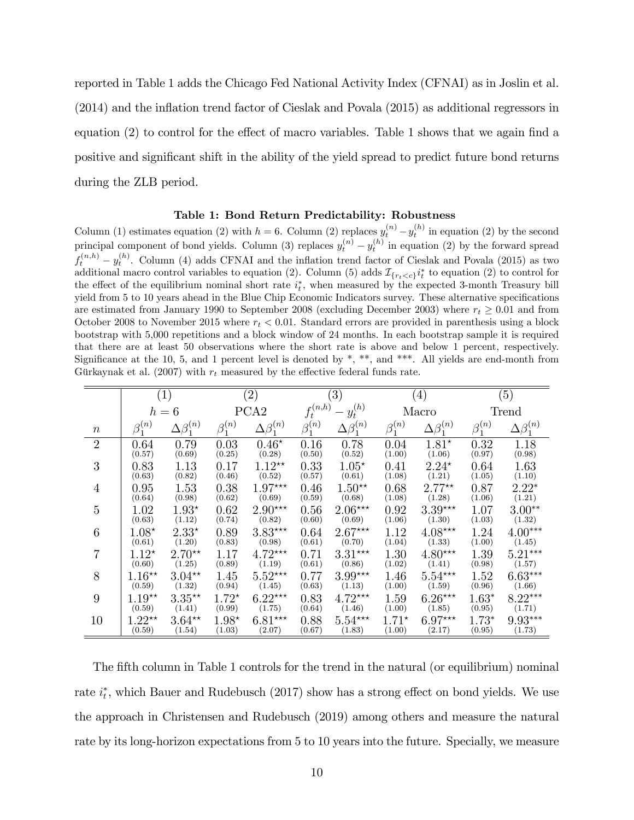reported in Table 1 adds the Chicago Fed National Activity Index (CFNAI) as in Joslin et al.  $(2014)$  and the inflation trend factor of Cieslak and Povala  $(2015)$  as additional regressors in equation  $(2)$  to control for the effect of macro variables. Table 1 shows that we again find a positive and significant shift in the ability of the yield spread to predict future bond returns during the ZLB period.

#### Table 1: Bond Return Predictability: Robustness

Column (1) estimates equation (2) with  $h = 6$ . Column (2) replaces  $y_t^{(n)} - y_t^{(h)}$  in equation (2) by the second principal component of bond yields. Column (3) replaces  $y_t^{(n)} - y_t^{(h)}$  in equation (2) by the forward spread  $f_t^{(n,h)} - y_t^{(h)}$ . Column (4) adds CFNAI and the inflation trend factor of Cieslak and Povala (2015) as two  $y_t = y_t$ . Column (4) adds CFTAT and the inhation trend latter of Clesiak and Tovala (2015) as two additional macro control variables to equation (2). Column (5) adds  $\mathcal{I}_{\{r_t < c\}}i_t^*$  to equation (2) to control for the effect of the equilibrium nominal short rate  $i_t^*$ , when measured by the expected 3-month Treasury bill yield from 5 to 10 years ahead in the Blue Chip Economic Indicators survey. These alternative specifications are estimated from January 1990 to September 2008 (excluding December 2003) where  $r_t \geq 0.01$  and from October 2008 to November 2015 where  $r_t < 0.01$ . Standard errors are provided in parenthesis using a block bootstrap with 5,000 repetitions and a block window of 24 months. In each bootstrap sample it is required that there are at least 50 observations where the short rate is above and below 1 percent, respectively. Significance at the 10, 5, and 1 percent level is denoted by  $*,$  \*\*, and \*\*\*. All yields are end-month from Gürkaynak et al. (2007) with  $r_t$  measured by the effective federal funds rate.

|                | (1)             |                        | $\left( 2\right)$ |                       | $\left(3\right)$              |                        | $\left(4\right)$ |                        | (5)             |                        |
|----------------|-----------------|------------------------|-------------------|-----------------------|-------------------------------|------------------------|------------------|------------------------|-----------------|------------------------|
|                | $h=6$           |                        | PCA <sub>2</sub>  |                       | $-y_t^{(h)}$<br>$f_t^{(n,h)}$ |                        | Macro            |                        | Trend           |                        |
| $\, n$         | $\beta_1^{(n)}$ | $\Delta \beta_1^{(n)}$ | $\beta_1^{(n)}$   | $\Delta\beta_1^{(n)}$ | $\beta_1^{(n)}$               | $\Delta \beta_1^{(n)}$ | $\beta_1^{(n)}$  | $\Delta \beta_1^{(n)}$ | $\beta_1^{(n)}$ | $\Delta \beta_1^{(n)}$ |
| $\overline{2}$ | 0.64            | 0.79                   | 0.03              | $0.46*$               | 0.16                          | 0.78                   | 0.04             | $1.81*$                | 0.32            | 1.18                   |
|                | (0.57)          | (0.69)                 | (0.25)            | (0.28)                | (0.50)                        | (0.52)                 | (1.00)           | (1.06)                 | (0.97)          | (0.98)                 |
| 3              | 0.83            | 1.13                   | 0.17              | $1.12**$              | 0.33                          | $1.05^{\star}$         | 0.41             | $2.24*$                | 0.64            | 1.63                   |
|                | (0.63)          | (0.82)                 | (0.46)            | (0.52)                | (0.57)                        | (0.61)                 | (1.08)           | (1.21)                 | (1.05)          | (1.10)                 |
| $\overline{4}$ | 0.95            | 1.53                   | 0.38              | $1.97***$             | 0.46                          | $1.50**$               | 0.68             | $2.77**$               | 0.87            | $2.22*$                |
|                | (0.64)          | (0.98)                 | (0.62)            | (0.69)                | (0.59)                        | (0.68)                 | (1.08)           | (1.28)                 | (1.06)          | (1.21)                 |
| 5              | 1.02            | $1.93*$                | 0.62              | $2.90***$             | 0.56                          | $2.06***$              | 0.92             | $3.39***$              | 1.07            | $3.00**$               |
|                | (0.63)          | (1.12)                 | (0.74)            | (0.82)                | (0.60)                        | (0.69)                 | (1.06)           | (1.30)                 | (1.03)          | (1.32)                 |
| 6              | $1.08*$         | $2.33*$                | 0.89              | $3.83***$             | 0.64                          | $2.67***$              | 1.12             | $4.08***$              | 1.24            | $4.00***$              |
|                | (0.61)          | (1.20)                 | (0.83)            | (0.98)                | (0.61)                        | (0.70)                 | (1.04)           | (1.33)                 | (1.00)          | (1.45)                 |
| $\overline{7}$ | $1.12*$         | $2.70**$               | 1.17              | $4.72***$             | 0.71                          | $3.31***$              | 1.30             | $4.80***$              | 1.39            | $5.21***$              |
|                | (0.60)          | (1.25)                 | (0.89)            | (1.19)                | (0.61)                        | (0.86)                 | (1.02)           | (1.41)                 | (0.98)          | (1.57)                 |
| 8              | $1.16**$        | $3.04**$               | 1.45              | $5.52***$             | 0.77                          | $3.99***$              | 1.46             | $5.54***$              | 1.52            | $6.63***$              |
|                | (0.59)          | (1.32)                 | (0.94)            | (1.45)                | (0.63)                        | (1.13)                 | (1.00)           | (1.59)                 | (0.96)          | (1.66)                 |
| 9              | $1.19**$        | $3.35**$               | $1.72*$           | $6.22***$             | 0.83                          | $4.72***$              | 1.59             | $6.26***$              | $1.63*$         | $8.22***$              |
|                | (0.59)          | (1.41)                 | (0.99)            | (1.75)                | (0.64)                        | (1.46)                 | (1.00)           | (1.85)                 | (0.95)          | (1.71)                 |
| 10             | $1.22**$        | $3.64**$               | $1.98*$           | $6.81***$             | 0.88                          | $5.54***$              | $1.71*$          | $6.97***$              | $1.73*$         | $9.93***$              |
|                | (0.59)          | (1.54)                 | (1.03)            | (2.07)                | (0.67)                        | (1.83)                 | (1.00)           | (2.17)                 | (0.95)          | (1.73)                 |

The fifth column in Table 1 controls for the trend in the natural (or equilibrium) nominal rate  $i_t^*$ , which Bauer and Rudebusch (2017) show has a strong effect on bond yields. We use the approach in Christensen and Rudebusch (2019) among others and measure the natural rate by its long-horizon expectations from 5 to 10 years into the future. Specially, we measure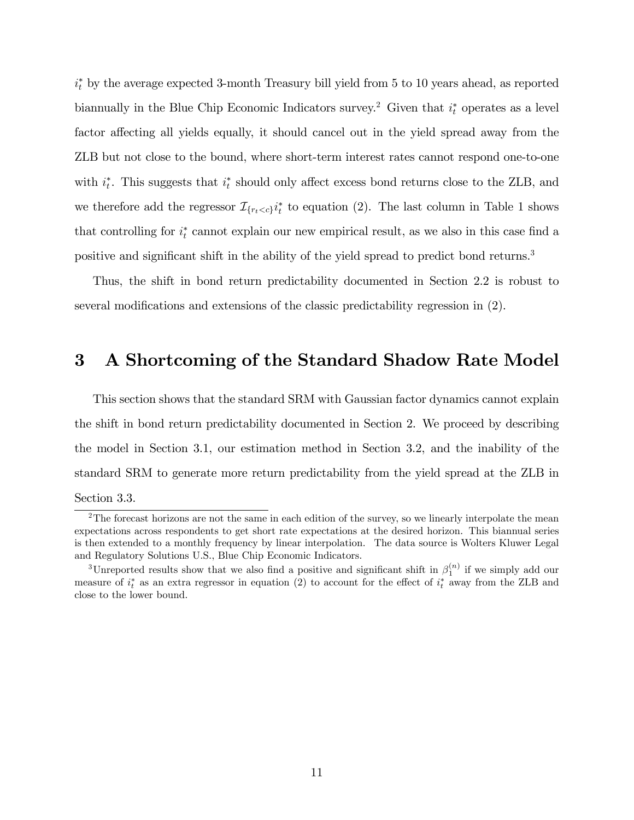$i_t^*$  by the average expected 3-month Treasury bill yield from 5 to 10 years ahead, as reported biannually in the Blue Chip Economic Indicators survey.<sup>2</sup> Given that  $i_t^*$  operates as a level factor affecting all yields equally, it should cancel out in the yield spread away from the ZLB but not close to the bound, where short-term interest rates cannot respond one-to-one with  $i_t^*$ . This suggests that  $i_t^*$  should only affect excess bond returns close to the ZLB, and we therefore add the regressor  $\mathcal{I}_{\{r_t < c\}} i_t^*$  to equation (2). The last column in Table 1 shows that controlling for  $i_t^*$  cannot explain our new empirical result, as we also in this case find a positive and significant shift in the ability of the yield spread to predict bond returns.<sup>3</sup>

Thus, the shift in bond return predictability documented in Section 2.2 is robust to several modifications and extensions of the classic predictability regression in  $(2)$ .

# 3 A Shortcoming of the Standard Shadow Rate Model

This section shows that the standard SRM with Gaussian factor dynamics cannot explain the shift in bond return predictability documented in Section 2. We proceed by describing the model in Section 3.1, our estimation method in Section 3.2, and the inability of the standard SRM to generate more return predictability from the yield spread at the ZLB in Section 3.3.

<sup>&</sup>lt;sup>2</sup>The forecast horizons are not the same in each edition of the survey, so we linearly interpolate the mean expectations across respondents to get short rate expectations at the desired horizon. This biannual series is then extended to a monthly frequency by linear interpolation. The data source is Wolters Kluwer Legal and Regulatory Solutions U.S., Blue Chip Economic Indicators.

<sup>&</sup>lt;sup>3</sup>Unreported results show that we also find a positive and significant shift in  $\beta_1^{(n)}$  if we simply add our measure of  $i_t^*$  as an extra regressor in equation (2) to account for the effect of  $i_t^*$  away from the ZLB and close to the lower bound.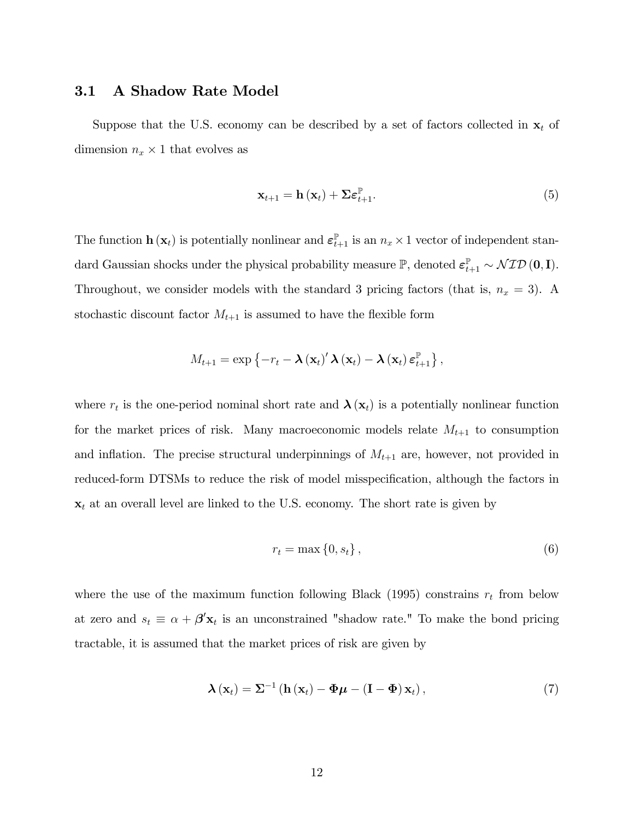#### 3.1 A Shadow Rate Model

Suppose that the U.S. economy can be described by a set of factors collected in  $x_t$  of dimension  $n_x \times 1$  that evolves as

$$
\mathbf{x}_{t+1} = \mathbf{h}\left(\mathbf{x}_t\right) + \boldsymbol{\Sigma} \boldsymbol{\varepsilon}_{t+1}^{\mathbb{P}}.\tag{5}
$$

The function  $\mathbf{h}(\mathbf{x}_t)$  is potentially nonlinear and  $\boldsymbol{\varepsilon}_{t+1}^{\mathbb{P}}$  is an  $n_x \times 1$  vector of independent standard Gaussian shocks under the physical probability measure  $\mathbb{P}$ , denoted  $\varepsilon_{t+1}^{\mathbb{P}} \sim \mathcal{NID}(\mathbf{0}, \mathbf{I}).$ Throughout, we consider models with the standard 3 pricing factors (that is,  $n_x = 3$ ). A stochastic discount factor  $M_{t+1}$  is assumed to have the flexible form

$$
M_{t+1} = \exp \left\{-r_t - \boldsymbol{\lambda} \left(\mathbf{x}_t\right)^{\prime} \boldsymbol{\lambda} \left(\mathbf{x}_t\right) - \boldsymbol{\lambda} \left(\mathbf{x}_t\right) \boldsymbol{\varepsilon}_{t+1}^{\mathbb{P}}\right\},\
$$

where  $r_t$  is the one-period nominal short rate and  $\lambda(\mathbf{x}_t)$  is a potentially nonlinear function for the market prices of risk. Many macroeconomic models relate  $M_{t+1}$  to consumption and inflation. The precise structural underpinnings of  $M_{t+1}$  are, however, not provided in reduced-form DTSMs to reduce the risk of model misspecification, although the factors in  $x_t$  at an overall level are linked to the U.S. economy. The short rate is given by

$$
r_t = \max\left\{0, s_t\right\},\tag{6}
$$

where the use of the maximum function following Black (1995) constrains  $r_t$  from below at zero and  $s_t \equiv \alpha + \beta' \mathbf{x}_t$  is an unconstrained "shadow rate." To make the bond pricing tractable, it is assumed that the market prices of risk are given by

$$
\boldsymbol{\lambda}\left(\mathbf{x}_{t}\right)=\mathbf{\Sigma}^{-1}\left(\mathbf{h}\left(\mathbf{x}_{t}\right)-\boldsymbol{\Phi}\boldsymbol{\mu}-\left(\mathbf{I}-\boldsymbol{\Phi}\right)\mathbf{x}_{t}\right),\tag{7}
$$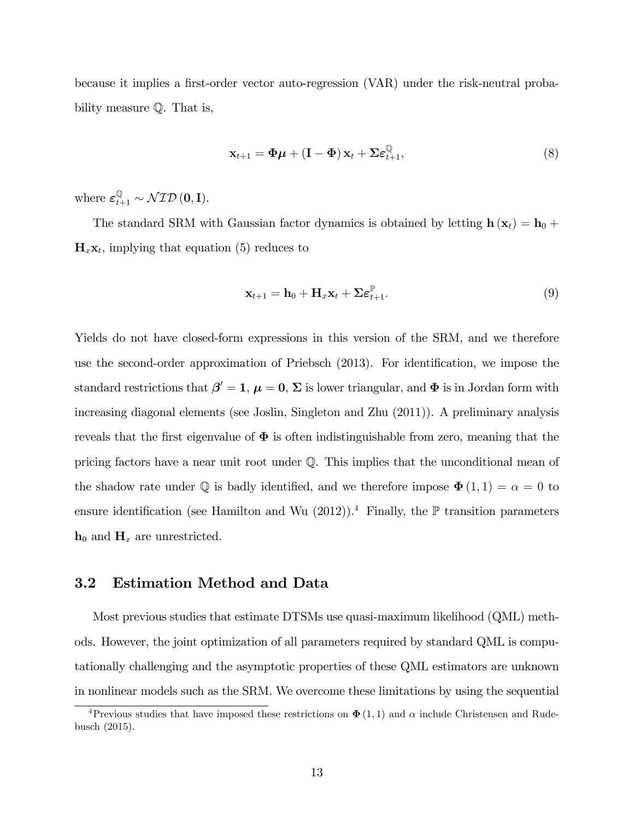because it implies a first-order vector auto-regression (VAR) under the risk-neutral probability measure Q. That is,

$$
\mathbf{x}_{t+1} = \mathbf{\Phi}\boldsymbol{\mu} + (\mathbf{I} - \mathbf{\Phi})\,\mathbf{x}_t + \boldsymbol{\Sigma}\boldsymbol{\varepsilon}_{t+1}^{\mathbb{Q}},\tag{8}
$$

where  $\varepsilon_{t+1}^{\mathbb{Q}} \sim \mathcal{NID}(\mathbf{0}, \mathbf{I}).$ 

The standard SRM with Gaussian factor dynamics is obtained by letting  $h(x_t) = h_0 +$  $\mathbf{H}_x \mathbf{x}_t$ , implying that equation (5) reduces to

$$
\mathbf{x}_{t+1} = \mathbf{h}_0 + \mathbf{H}_x \mathbf{x}_t + \boldsymbol{\Sigma} \boldsymbol{\varepsilon}_{t+1}^{\mathbb{P}}.
$$
 (9)

Yields do not have closed-form expressions in this version of the SRM, and we therefore use the second-order approximation of Priebsch (2013). For identification, we impose the standard restrictions that  $\beta' = 1$ ,  $\mu = 0$ ,  $\Sigma$  is lower triangular, and  $\Phi$  is in Jordan form with increasing diagonal elements (see Joslin, Singleton and Zhu (2011)). A preliminary analysis reveals that the first eigenvalue of  $\Phi$  is often indistinguishable from zero, meaning that the pricing factors have a near unit root under Q. This implies that the unconditional mean of the shadow rate under  $\mathbb Q$  is badly identified, and we therefore impose  $\mathbf{\Phi}(1,1) = \alpha = 0$  to ensure identification (see Hamilton and Wu  $(2012)$ ).<sup>4</sup> Finally, the P transition parameters  $h_0$  and  $H_x$  are unrestricted.

#### 3.2 Estimation Method and Data

Most previous studies that estimate DTSMs use quasi-maximum likelihood (QML) methods. However, the joint optimization of all parameters required by standard QML is computationally challenging and the asymptotic properties of these QML estimators are unknown in nonlinear models such as the SRM. We overcome these limitations by using the sequential

<sup>&</sup>lt;sup>4</sup>Previous studies that have imposed these restrictions on  $\Phi(1,1)$  and  $\alpha$  include Christensen and Rudebusch (2015).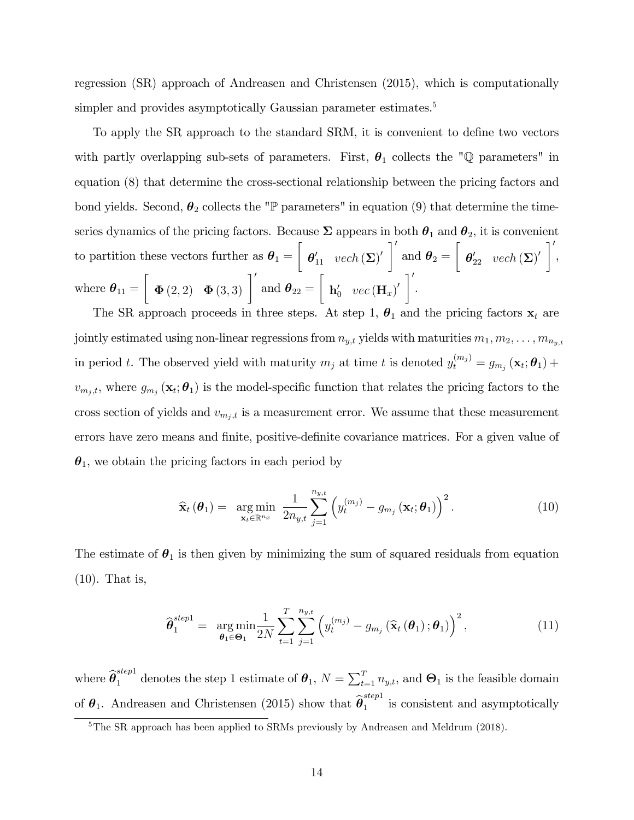regression (SR) approach of Andreasen and Christensen (2015), which is computationally simpler and provides asymptotically Gaussian parameter estimates.<sup>5</sup>

To apply the SR approach to the standard SRM, it is convenient to define two vectors with partly overlapping sub-sets of parameters. First,  $\theta_1$  collects the "Q parameters" in equation (8) that determine the cross-sectional relationship between the pricing factors and bond yields. Second,  $\theta_2$  collects the "P parameters" in equation (9) that determine the timeseries dynamics of the pricing factors. Because  $\Sigma$  appears in both  $\theta_1$  and  $\theta_2$ , it is convenient to partition these vectors further as  $\theta_1 =$  $\sqrt{ }$  $\boldsymbol{\theta}_{11}^\prime \hspace{0.2cm} vech\left(\boldsymbol{\Sigma}\right)^\prime \Bigg]^\prime$ and  $\boldsymbol{\theta}_2 =$  $\sqrt{ }$  $\boldsymbol{\theta}_{22}^{\prime} \hspace{0.2cm} vech\left(\boldsymbol{\Sigma}\right)^{\prime}\ \bigg]^{\prime}$ , where  $\boldsymbol{\theta}_{11} =$  $\left[\begin{array}{cc} \mathbf{\Phi}\left(2,2\right) & \mathbf{\Phi}\left(3,3\right) \end{array}\right]'$  and  $\boldsymbol{\theta}_{22} =$  $\sqrt{ }$  $\textbf{h}_0^\prime$   $\textit{vec}\left(\textbf{H}_x\right)^\prime \ \bigg]^{\prime}$ .

The SR approach proceeds in three steps. At step 1,  $\theta_1$  and the pricing factors  $\mathbf{x}_t$  are jointly estimated using non-linear regressions from  $n_{y,t}$  yields with maturities  $m_1, m_2, \ldots, m_{n_y,t}$ in period t. The observed yield with maturity  $m_j$  at time t is denoted  $y_t^{(m_j)} = g_{m_j}(\mathbf{x}_t; \boldsymbol{\theta}_1) +$  $v_{m_j,t}$ , where  $g_{m_j}(\mathbf{x}_t; \boldsymbol{\theta}_1)$  is the model-specific function that relates the pricing factors to the cross section of yields and  $v_{m_j,t}$  is a measurement error. We assume that these measurement errors have zero means and finite, positive-definite covariance matrices. For a given value of  $\theta_1$ , we obtain the pricing factors in each period by

$$
\widehat{\mathbf{x}}_t\left(\boldsymbol{\theta}_1\right) = \underset{\mathbf{x}_t \in \mathbb{R}^{n_x}}{\arg \min} \ \frac{1}{2n_{y,t}} \sum_{j=1}^{n_{y,t}} \left(y_t^{(m_j)} - g_{m_j}\left(\mathbf{x}_t; \boldsymbol{\theta}_1\right)\right)^2. \tag{10}
$$

The estimate of  $\theta_1$  is then given by minimizing the sum of squared residuals from equation (10). That is,

$$
\widehat{\boldsymbol{\theta}}_1^{step1} = \argmin_{\boldsymbol{\theta}_1 \in \boldsymbol{\Theta}_1} \frac{1}{2N} \sum_{t=1}^T \sum_{j=1}^{n_{y,t}} \left( y_t^{(m_j)} - g_{m_j} \left( \widehat{\mathbf{x}}_t \left( \boldsymbol{\theta}_1 \right); \boldsymbol{\theta}_1 \right) \right)^2, \tag{11}
$$

where  $\widehat{\theta}_1^{step1}$  denotes the step 1 estimate of  $\theta_1$ ,  $N = \sum_{t=1}^T n_{y,t}$ , and  $\Theta_1$  is the feasible domain of  $\theta_1$ . Andreasen and Christensen (2015) show that  $\widehat{\theta}_1^{step1}$  $\frac{1}{1}$  is consistent and asymptotically

<sup>&</sup>lt;sup>5</sup>The SR approach has been applied to SRMs previously by Andreasen and Meldrum (2018).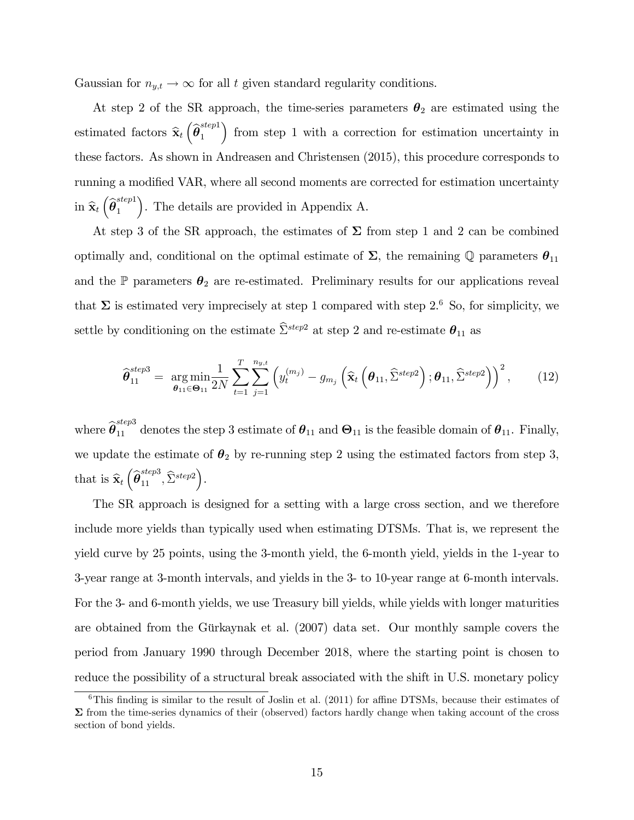Gaussian for  $n_{y,t} \to \infty$  for all t given standard regularity conditions.

At step 2 of the SR approach, the time-series parameters  $\theta_2$  are estimated using the estimated factors  $\hat{\mathbf{x}}_t \left( \hat{\boldsymbol{\theta}}_1^{step1} \right)$ 1 from step 1 with a correction for estimation uncertainty in these factors. As shown in Andreasen and Christensen (2015), this procedure corresponds to running a modified VAR, where all second moments are corrected for estimation uncertainty in  $\widehat{\mathbf{x}}_t\left(\widehat{\boldsymbol \theta}_1^{step1}\right)$ 1 . The details are provided in Appendix A.

At step 3 of the SR approach, the estimates of  $\Sigma$  from step 1 and 2 can be combined optimally and, conditional on the optimal estimate of  $\Sigma$ , the remaining Q parameters  $\theta_{11}$ and the  $\mathbb P$  parameters  $\theta_2$  are re-estimated. Preliminary results for our applications reveal that  $\Sigma$  is estimated very imprecisely at step 1 compared with step 2.<sup>6</sup> So, for simplicity, we settle by conditioning on the estimate  $\widehat{\Sigma}^{step2}$  at step 2 and re-estimate  $\theta_{11}$  as

$$
\widehat{\boldsymbol{\theta}}_{11}^{step3} = \underset{\boldsymbol{\theta}_{11} \in \boldsymbol{\Theta}_{11}}{\arg \min} \frac{1}{2N} \sum_{t=1}^{T} \sum_{j=1}^{n_{y,t}} \left( y_t^{(m_j)} - g_{m_j} \left( \widehat{\mathbf{x}}_t \left( \boldsymbol{\theta}_{11}, \widehat{\Sigma}^{step2} \right); \boldsymbol{\theta}_{11}, \widehat{\Sigma}^{step2} \right) \right)^2, \quad (12)
$$

where  $\hat{\theta}_{11}^{step3}$  denotes the step 3 estimate of  $\theta_{11}$  and  $\Theta_{11}$  is the feasible domain of  $\theta_{11}$ . Finally, we update the estimate of  $\theta_2$  by re-running step 2 using the estimated factors from step 3, that is  $\widehat{\mathbf{x}}_t\left(\widehat{\boldsymbol{\theta}}_{11}^{step3}, \widehat{\Sigma}^{step2}\right)$ .

The SR approach is designed for a setting with a large cross section, and we therefore include more yields than typically used when estimating DTSMs. That is, we represent the yield curve by 25 points, using the 3-month yield, the 6-month yield, yields in the 1-year to 3-year range at 3-month intervals, and yields in the 3- to 10-year range at 6-month intervals. For the 3- and 6-month yields, we use Treasury bill yields, while yields with longer maturities are obtained from the Gürkaynak et al.  $(2007)$  data set. Our monthly sample covers the period from January 1990 through December 2018, where the starting point is chosen to reduce the possibility of a structural break associated with the shift in U.S. monetary policy

 $6$ This finding is similar to the result of Joslin et al. (2011) for affine DTSMs, because their estimates of  $\Sigma$  from the time-series dynamics of their (observed) factors hardly change when taking account of the cross section of bond yields.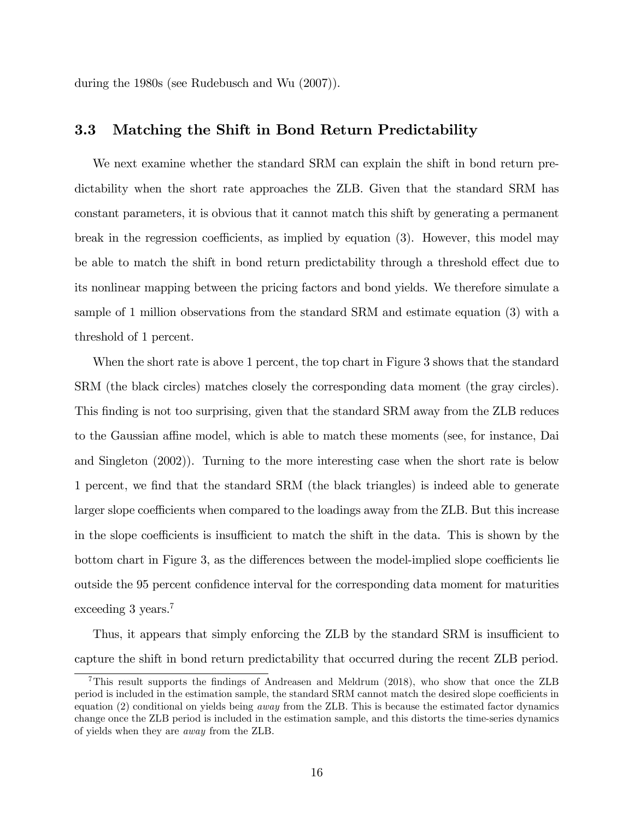during the 1980s (see Rudebusch and Wu (2007)).

#### 3.3 Matching the Shift in Bond Return Predictability

We next examine whether the standard SRM can explain the shift in bond return predictability when the short rate approaches the ZLB. Given that the standard SRM has constant parameters, it is obvious that it cannot match this shift by generating a permanent break in the regression coefficients, as implied by equation  $(3)$ . However, this model may be able to match the shift in bond return predictability through a threshold effect due to its nonlinear mapping between the pricing factors and bond yields. We therefore simulate a sample of 1 million observations from the standard SRM and estimate equation (3) with a threshold of 1 percent.

When the short rate is above 1 percent, the top chart in Figure 3 shows that the standard SRM (the black circles) matches closely the corresponding data moment (the gray circles). This finding is not too surprising, given that the standard SRM away from the ZLB reduces to the Gaussian affine model, which is able to match these moments (see, for instance, Dai and Singleton (2002)). Turning to the more interesting case when the short rate is below 1 percent, we Önd that the standard SRM (the black triangles) is indeed able to generate larger slope coefficients when compared to the loadings away from the ZLB. But this increase in the slope coefficients is insufficient to match the shift in the data. This is shown by the bottom chart in Figure 3, as the differences between the model-implied slope coefficients lie outside the 95 percent confidence interval for the corresponding data moment for maturities exceeding 3 years.<sup>7</sup>

Thus, it appears that simply enforcing the ZLB by the standard SRM is insufficient to capture the shift in bond return predictability that occurred during the recent ZLB period.

<sup>&</sup>lt;sup>7</sup>This result supports the findings of Andreasen and Meldrum (2018), who show that once the ZLB period is included in the estimation sample, the standard SRM cannot match the desired slope coefficients in equation (2) conditional on yields being away from the ZLB. This is because the estimated factor dynamics change once the ZLB period is included in the estimation sample, and this distorts the time-series dynamics of yields when they are away from the ZLB.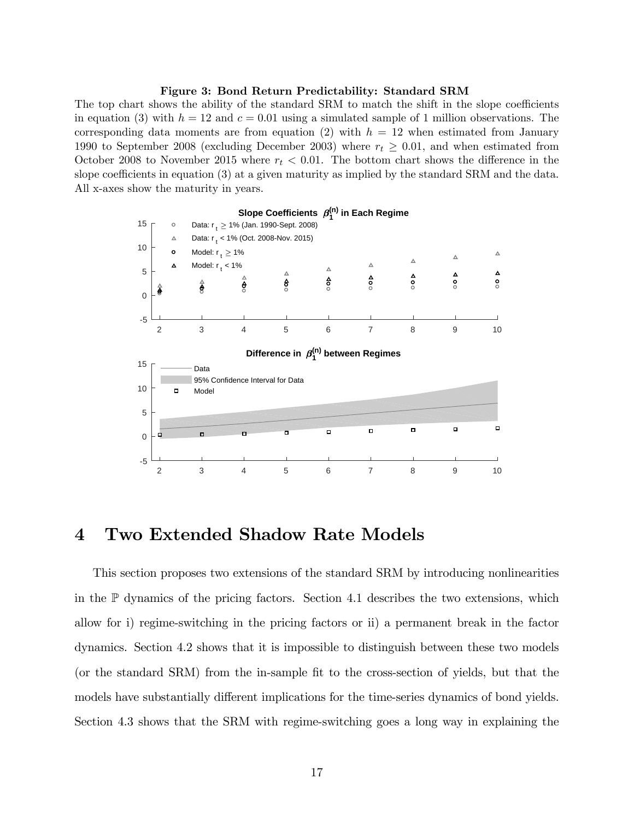#### Figure 3: Bond Return Predictability: Standard SRM

The top chart shows the ability of the standard SRM to match the shift in the slope coefficients in equation (3) with  $h = 12$  and  $c = 0.01$  using a simulated sample of 1 million observations. The corresponding data moments are from equation (2) with  $h = 12$  when estimated from January 1990 to September 2008 (excluding December 2003) where  $r_t \geq 0.01$ , and when estimated from October 2008 to November 2015 where  $r_t < 0.01$ . The bottom chart shows the difference in the slope coefficients in equation  $(3)$  at a given maturity as implied by the standard SRM and the data. All x-axes show the maturity in years.



## 4 Two Extended Shadow Rate Models

This section proposes two extensions of the standard SRM by introducing nonlinearities in the  $\mathbb P$  dynamics of the pricing factors. Section 4.1 describes the two extensions, which allow for i) regime-switching in the pricing factors or ii) a permanent break in the factor dynamics. Section 4.2 shows that it is impossible to distinguish between these two models (or the standard SRM) from the in-sample Öt to the cross-section of yields, but that the models have substantially different implications for the time-series dynamics of bond yields. Section 4.3 shows that the SRM with regime-switching goes a long way in explaining the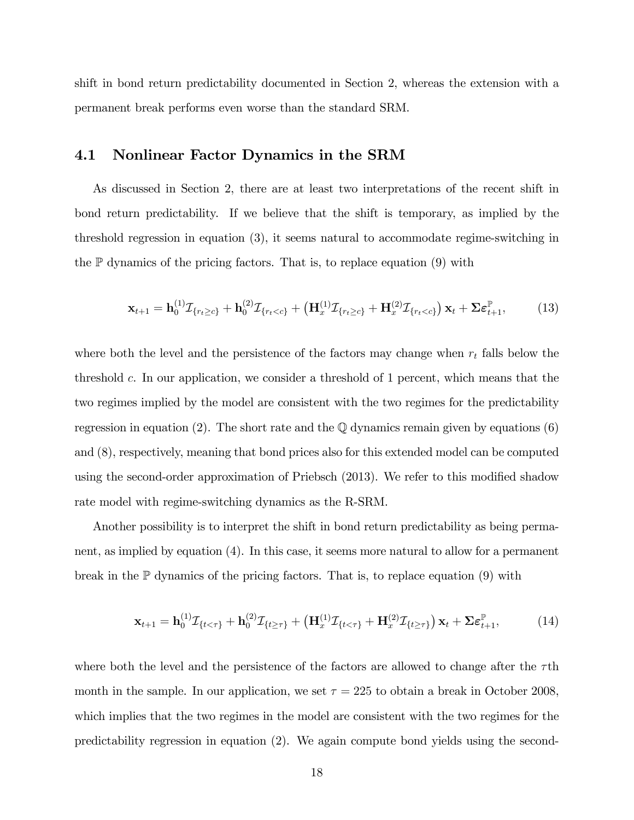shift in bond return predictability documented in Section 2, whereas the extension with a permanent break performs even worse than the standard SRM.

#### 4.1 Nonlinear Factor Dynamics in the SRM

As discussed in Section 2, there are at least two interpretations of the recent shift in bond return predictability. If we believe that the shift is temporary, as implied by the threshold regression in equation (3), it seems natural to accommodate regime-switching in the  $\mathbb P$  dynamics of the pricing factors. That is, to replace equation (9) with

$$
\mathbf{x}_{t+1} = \mathbf{h}_0^{(1)} \mathcal{I}_{\{r_t \geq c\}} + \mathbf{h}_0^{(2)} \mathcal{I}_{\{r_t < c\}} + \left( \mathbf{H}_x^{(1)} \mathcal{I}_{\{r_t \geq c\}} + \mathbf{H}_x^{(2)} \mathcal{I}_{\{r_t < c\}} \right) \mathbf{x}_t + \Sigma \boldsymbol{\varepsilon}_{t+1}^{\mathbb{P}},\tag{13}
$$

where both the level and the persistence of the factors may change when  $r_t$  falls below the threshold c. In our application, we consider a threshold of 1 percent, which means that the two regimes implied by the model are consistent with the two regimes for the predictability regression in equation (2). The short rate and the  $\mathbb Q$  dynamics remain given by equations (6) and (8), respectively, meaning that bond prices also for this extended model can be computed using the second-order approximation of Priebsch (2013). We refer to this modified shadow rate model with regime-switching dynamics as the R-SRM.

Another possibility is to interpret the shift in bond return predictability as being permanent, as implied by equation (4). In this case, it seems more natural to allow for a permanent break in the  $\mathbb P$  dynamics of the pricing factors. That is, to replace equation (9) with

$$
\mathbf{x}_{t+1} = \mathbf{h}_0^{(1)} \mathcal{I}_{\{t < \tau\}} + \mathbf{h}_0^{(2)} \mathcal{I}_{\{t \ge \tau\}} + \left( \mathbf{H}_x^{(1)} \mathcal{I}_{\{t < \tau\}} + \mathbf{H}_x^{(2)} \mathcal{I}_{\{t \ge \tau\}} \right) \mathbf{x}_t + \Sigma \boldsymbol{\varepsilon}_{t+1}^{\mathbb{P}},\tag{14}
$$

where both the level and the persistence of the factors are allowed to change after the  $\tau$ th month in the sample. In our application, we set  $\tau = 225$  to obtain a break in October 2008, which implies that the two regimes in the model are consistent with the two regimes for the predictability regression in equation (2). We again compute bond yields using the second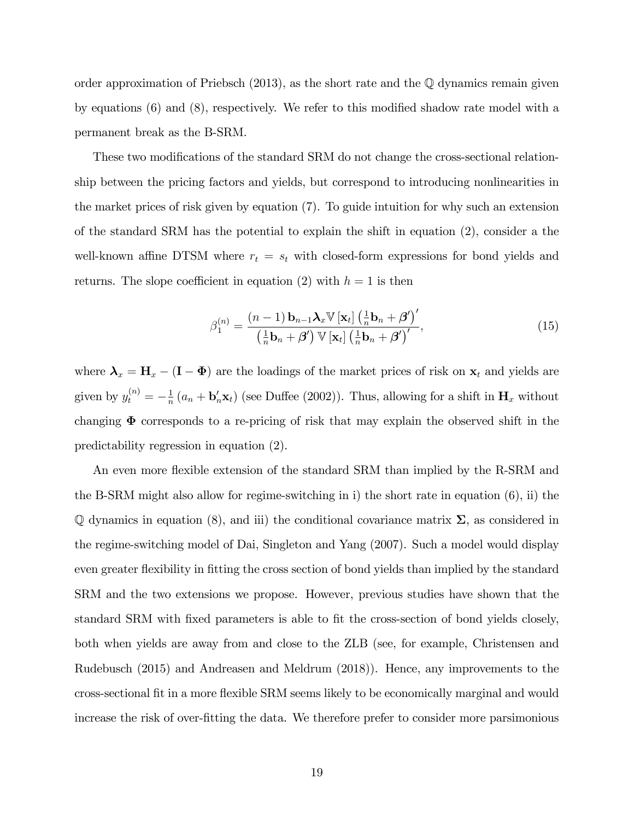order approximation of Priebsch  $(2013)$ , as the short rate and the  $\mathbb Q$  dynamics remain given by equations  $(6)$  and  $(8)$ , respectively. We refer to this modified shadow rate model with a permanent break as the B-SRM.

These two modifications of the standard SRM do not change the cross-sectional relationship between the pricing factors and yields, but correspond to introducing nonlinearities in the market prices of risk given by equation (7). To guide intuition for why such an extension of the standard SRM has the potential to explain the shift in equation (2), consider a the well-known affine DTSM where  $r_t = s_t$  with closed-form expressions for bond yields and returns. The slope coefficient in equation (2) with  $h = 1$  is then

$$
\beta_1^{(n)} = \frac{(n-1)\,\mathbf{b}_{n-1}\mathbf{\lambda}_x \mathbb{V}\left[\mathbf{x}_t\right] \left(\frac{1}{n}\mathbf{b}_n + \boldsymbol{\beta}'\right)'}{\left(\frac{1}{n}\mathbf{b}_n + \boldsymbol{\beta}'\right) \mathbb{V}\left[\mathbf{x}_t\right] \left(\frac{1}{n}\mathbf{b}_n + \boldsymbol{\beta}'\right)'},\tag{15}
$$

where  $\lambda_x = H_x - (I - \Phi)$  are the loadings of the market prices of risk on  $x_t$  and yields are given by  $y_t^{(n)} = -\frac{1}{n}$  $\frac{1}{n}(a_n + \mathbf{b}_n^{\prime} \mathbf{x}_t)$  (see Duffee (2002)). Thus, allowing for a shift in  $\mathbf{H}_x$  without changing  $\Phi$  corresponds to a re-pricing of risk that may explain the observed shift in the predictability regression in equation (2).

An even more flexible extension of the standard SRM than implied by the R-SRM and the B-SRM might also allow for regime-switching in i) the short rate in equation (6), ii) the  $\mathbb Q$  dynamics in equation (8), and iii) the conditional covariance matrix  $\Sigma$ , as considered in the regime-switching model of Dai, Singleton and Yang (2007). Such a model would display even greater flexibility in fitting the cross section of bond yields than implied by the standard SRM and the two extensions we propose. However, previous studies have shown that the standard SRM with fixed parameters is able to fit the cross-section of bond yields closely, both when yields are away from and close to the ZLB (see, for example, Christensen and Rudebusch (2015) and Andreasen and Meldrum (2018)). Hence, any improvements to the cross-sectional Öt in a more áexible SRM seems likely to be economically marginal and would increase the risk of over-fitting the data. We therefore prefer to consider more parsimonious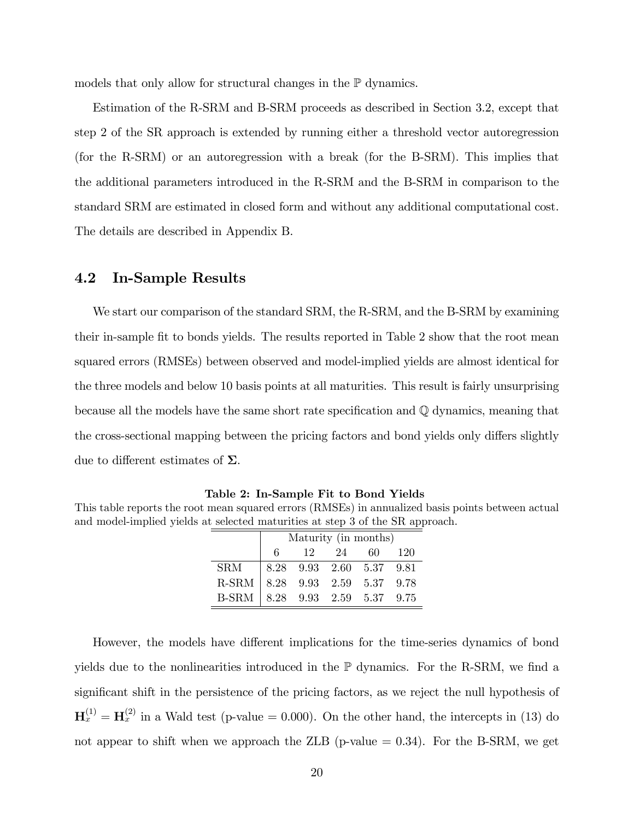models that only allow for structural changes in the P dynamics.

Estimation of the R-SRM and B-SRM proceeds as described in Section 3.2, except that step 2 of the SR approach is extended by running either a threshold vector autoregression (for the R-SRM) or an autoregression with a break (for the B-SRM). This implies that the additional parameters introduced in the R-SRM and the B-SRM in comparison to the standard SRM are estimated in closed form and without any additional computational cost. The details are described in Appendix B.

#### 4.2 In-Sample Results

We start our comparison of the standard SRM, the R-SRM, and the B-SRM by examining their in-sample Öt to bonds yields. The results reported in Table 2 show that the root mean squared errors (RMSEs) between observed and model-implied yields are almost identical for the three models and below 10 basis points at all maturities. This result is fairly unsurprising because all the models have the same short rate specification and  $\mathbb Q$  dynamics, meaning that the cross-sectional mapping between the pricing factors and bond yields only differs slightly due to different estimates of  $\Sigma$ .

Table 2: In-Sample Fit to Bond Yields

This table reports the root mean squared errors (RMSEs) in annualized basis points between actual and model-implied yields at selected maturities at step 3 of the SR approach.

|                                                                | Maturity (in months) |  |          |  |       |  |  |  |  |  |
|----------------------------------------------------------------|----------------------|--|----------|--|-------|--|--|--|--|--|
|                                                                | 6                    |  | 12 24 60 |  | - 120 |  |  |  |  |  |
|                                                                |                      |  |          |  |       |  |  |  |  |  |
| SRM 8.28 9.93 2.60 5.37 9.81<br>R-SRM 8.28 9.93 2.59 5.37 9.78 |                      |  |          |  |       |  |  |  |  |  |
| B-SRM 8.28 9.93 2.59 5.37 9.75                                 |                      |  |          |  |       |  |  |  |  |  |

However, the models have different implications for the time-series dynamics of bond yields due to the nonlinearities introduced in the  $\mathbb P$  dynamics. For the R-SRM, we find a significant shift in the persistence of the pricing factors, as we reject the null hypothesis of  $H_x^{(1)} = H_x^{(2)}$  in a Wald test (p-value = 0.000). On the other hand, the intercepts in (13) do not appear to shift when we approach the ZLB (p-value  $= 0.34$ ). For the B-SRM, we get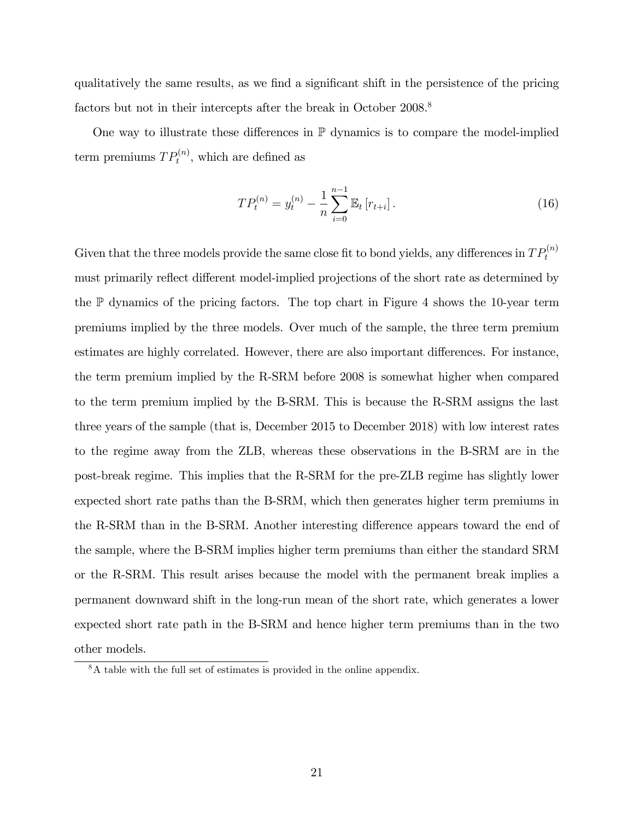qualitatively the same results, as we find a significant shift in the persistence of the pricing factors but not in their intercepts after the break in October 2008.<sup>8</sup>

One way to illustrate these differences in  $\mathbb P$  dynamics is to compare the model-implied term premiums  $TP_t^{(n)}$ , which are defined as

$$
TP_t^{(n)} = y_t^{(n)} - \frac{1}{n} \sum_{i=0}^{n-1} \mathbb{E}_t \left[ r_{t+i} \right]. \tag{16}
$$

Given that the three models provide the same close fit to bond yields, any differences in  $TP_t^{(n)}$ must primarily reflect different model-implied projections of the short rate as determined by the  $\mathbb P$  dynamics of the pricing factors. The top chart in Figure 4 shows the 10-year term premiums implied by the three models. Over much of the sample, the three term premium estimates are highly correlated. However, there are also important differences. For instance, the term premium implied by the R-SRM before 2008 is somewhat higher when compared to the term premium implied by the B-SRM. This is because the R-SRM assigns the last three years of the sample (that is, December 2015 to December 2018) with low interest rates to the regime away from the ZLB, whereas these observations in the B-SRM are in the post-break regime. This implies that the R-SRM for the pre-ZLB regime has slightly lower expected short rate paths than the B-SRM, which then generates higher term premiums in the R-SRM than in the B-SRM. Another interesting difference appears toward the end of the sample, where the B-SRM implies higher term premiums than either the standard SRM or the R-SRM. This result arises because the model with the permanent break implies a permanent downward shift in the long-run mean of the short rate, which generates a lower expected short rate path in the B-SRM and hence higher term premiums than in the two other models.

<sup>8</sup>A table with the full set of estimates is provided in the online appendix.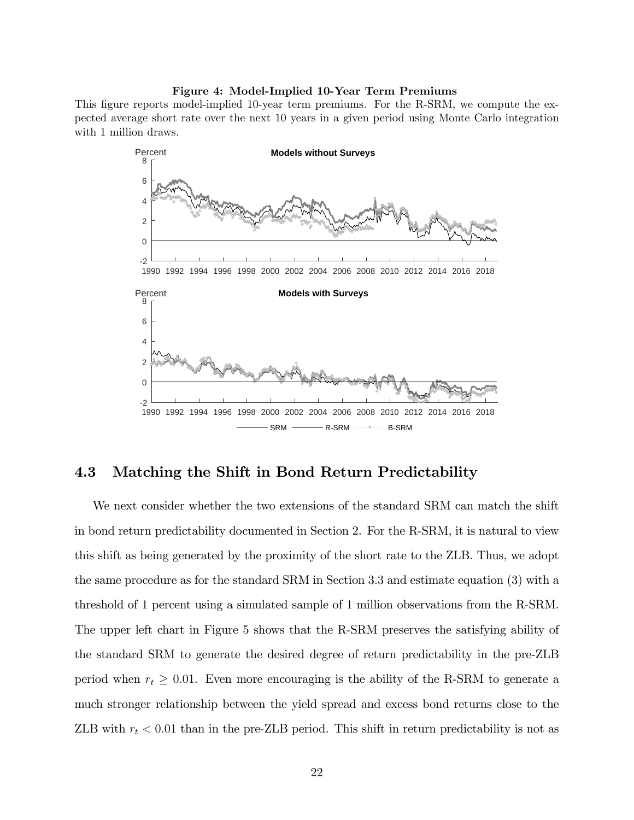#### Figure 4: Model-Implied 10-Year Term Premiums

This figure reports model-implied 10-year term premiums. For the R-SRM, we compute the expected average short rate over the next 10 years in a given period using Monte Carlo integration with 1 million draws.



#### 4.3 Matching the Shift in Bond Return Predictability

We next consider whether the two extensions of the standard SRM can match the shift in bond return predictability documented in Section 2. For the R-SRM, it is natural to view this shift as being generated by the proximity of the short rate to the ZLB. Thus, we adopt the same procedure as for the standard SRM in Section 3.3 and estimate equation (3) with a threshold of 1 percent using a simulated sample of 1 million observations from the R-SRM. The upper left chart in Figure 5 shows that the R-SRM preserves the satisfying ability of the standard SRM to generate the desired degree of return predictability in the pre-ZLB period when  $r_t \geq 0.01$ . Even more encouraging is the ability of the R-SRM to generate a much stronger relationship between the yield spread and excess bond returns close to the ZLB with  $r_t < 0.01$  than in the pre-ZLB period. This shift in return predictability is not as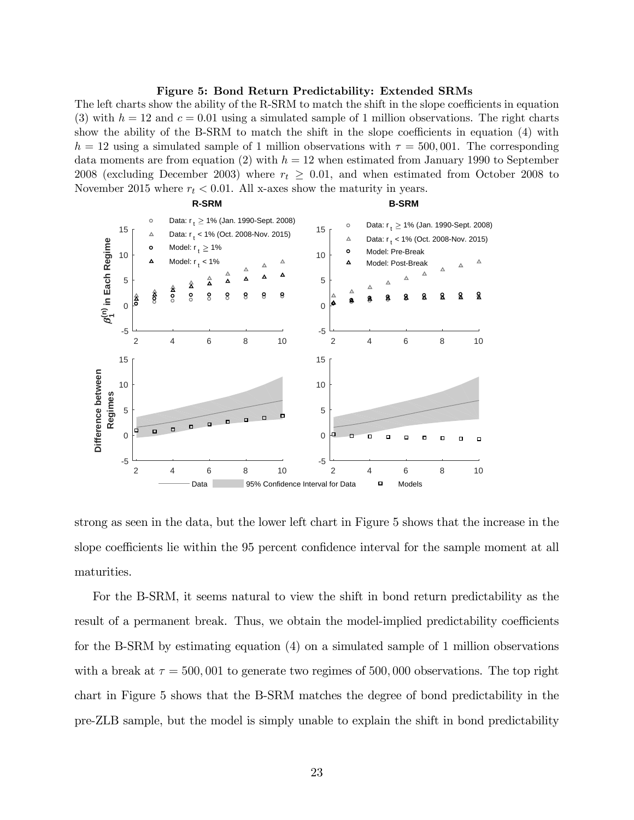#### Figure 5: Bond Return Predictability: Extended SRMs

The left charts show the ability of the R-SRM to match the shift in the slope coefficients in equation (3) with  $h = 12$  and  $c = 0.01$  using a simulated sample of 1 million observations. The right charts show the ability of the B-SRM to match the shift in the slope coefficients in equation  $(4)$  with  $h = 12$  using a simulated sample of 1 million observations with  $\tau = 500,001$ . The corresponding data moments are from equation (2) with  $h = 12$  when estimated from January 1990 to September 2008 (excluding December 2003) where  $r_t \geq 0.01$ , and when estimated from October 2008 to November 2015 where  $r_t < 0.01$ . All x-axes show the maturity in years.



strong as seen in the data, but the lower left chart in Figure 5 shows that the increase in the slope coefficients lie within the 95 percent confidence interval for the sample moment at all maturities.

For the B-SRM, it seems natural to view the shift in bond return predictability as the result of a permanent break. Thus, we obtain the model-implied predictability coefficients for the B-SRM by estimating equation (4) on a simulated sample of 1 million observations with a break at  $\tau = 500,001$  to generate two regimes of 500,000 observations. The top right chart in Figure 5 shows that the B-SRM matches the degree of bond predictability in the pre-ZLB sample, but the model is simply unable to explain the shift in bond predictability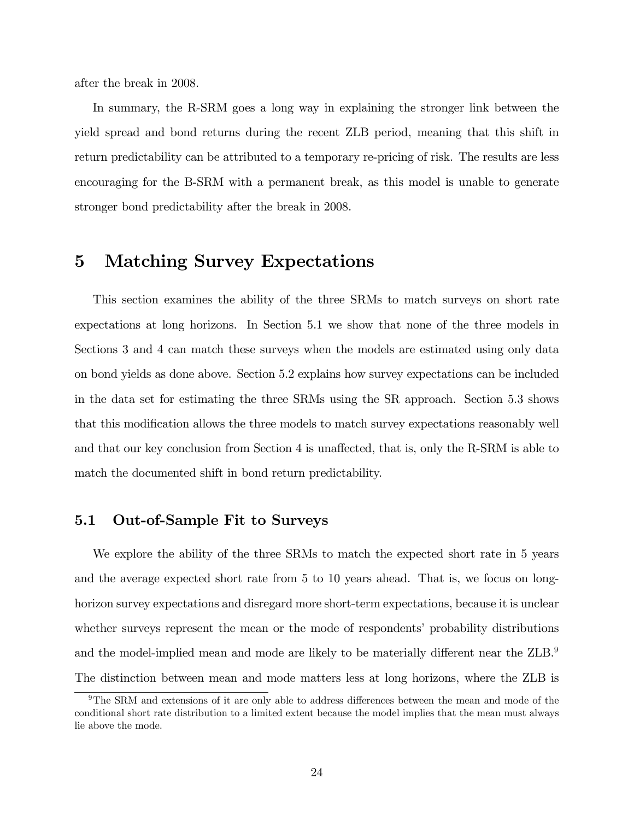after the break in 2008.

In summary, the R-SRM goes a long way in explaining the stronger link between the yield spread and bond returns during the recent ZLB period, meaning that this shift in return predictability can be attributed to a temporary re-pricing of risk. The results are less encouraging for the B-SRM with a permanent break, as this model is unable to generate stronger bond predictability after the break in 2008.

### 5 Matching Survey Expectations

This section examines the ability of the three SRMs to match surveys on short rate expectations at long horizons. In Section 5.1 we show that none of the three models in Sections 3 and 4 can match these surveys when the models are estimated using only data on bond yields as done above. Section 5.2 explains how survey expectations can be included in the data set for estimating the three SRMs using the SR approach. Section 5.3 shows that this modification allows the three models to match survey expectations reasonably well and that our key conclusion from Section 4 is unaffected, that is, only the R-SRM is able to match the documented shift in bond return predictability.

#### 5.1 Out-of-Sample Fit to Surveys

We explore the ability of the three SRMs to match the expected short rate in 5 years and the average expected short rate from 5 to 10 years ahead. That is, we focus on longhorizon survey expectations and disregard more short-term expectations, because it is unclear whether surveys represent the mean or the mode of respondents' probability distributions and the model-implied mean and mode are likely to be materially different near the ZLB.<sup>9</sup> The distinction between mean and mode matters less at long horizons, where the ZLB is

 $9$ The SRM and extensions of it are only able to address differences between the mean and mode of the conditional short rate distribution to a limited extent because the model implies that the mean must always lie above the mode.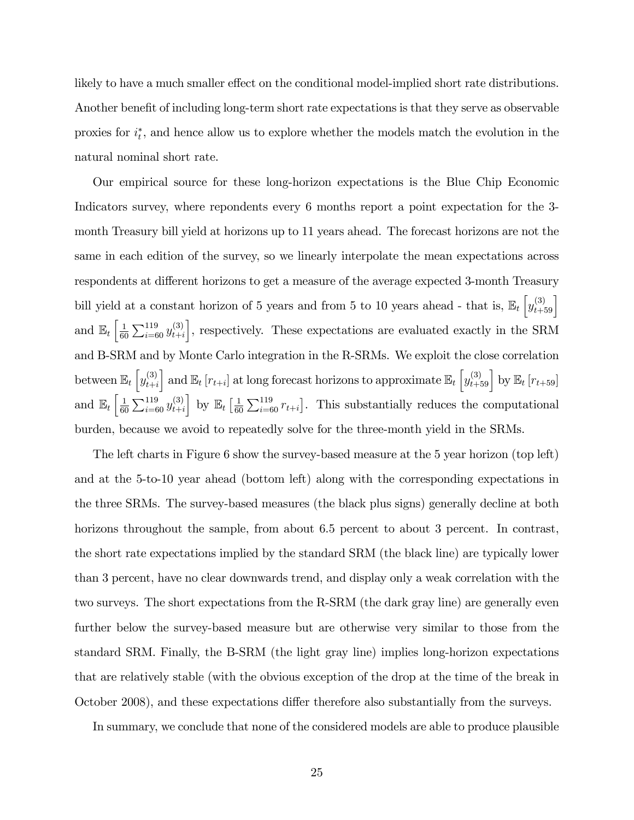likely to have a much smaller effect on the conditional model-implied short rate distributions. Another benefit of including long-term short rate expectations is that they serve as observable proxies for  $i_t^*$ , and hence allow us to explore whether the models match the evolution in the natural nominal short rate.

Our empirical source for these long-horizon expectations is the Blue Chip Economic Indicators survey, where repondents every 6 months report a point expectation for the 3 month Treasury bill yield at horizons up to 11 years ahead. The forecast horizons are not the same in each edition of the survey, so we linearly interpolate the mean expectations across respondents at different horizons to get a measure of the average expected 3-month Treasury bill yield at a constant horizon of 5 years and from 5 to 10 years ahead - that is,  $\mathbb{E}_t \left[ y_{t+59}^{(3)} \right]$ and  $\mathbb{E}_{t} \left[ \frac{1}{60} \right]$  $\frac{1}{60} \sum_{i=60}^{119} y_{t+i}^{(3)}$  $t+i$ , respectively. These expectations are evaluated exactly in the SRM and B-SRM and by Monte Carlo integration in the R-SRMs. We exploit the close correlation between  $\mathbb{E}_t \left[ y_{t+i}^{(3)} \right]$  $t+i$ and  $\mathbb{E}_t[r_{t+i}]$  at long forecast horizons to approximate  $\mathbb{E}_t\left[y_{t+59}^{(3)}\right]$  by  $\mathbb{E}_t[r_{t+59}]$ and  $\mathbb{E}_{t} \left[ \frac{1}{60} \right]$  $\frac{1}{60}\sum_{i=60}^{119} y_{t+i}^{(3)}$  $t+i$  $\bigg|$  by  $\mathbb{E}_t \left[ \frac{1}{60} \right]$  $\frac{1}{60} \sum_{i=60}^{119} r_{t+i}$ . This substantially reduces the computational burden, because we avoid to repeatedly solve for the three-month yield in the SRMs.

The left charts in Figure 6 show the survey-based measure at the 5 year horizon (top left) and at the 5-to-10 year ahead (bottom left) along with the corresponding expectations in the three SRMs. The survey-based measures (the black plus signs) generally decline at both horizons throughout the sample, from about 6.5 percent to about 3 percent. In contrast, the short rate expectations implied by the standard SRM (the black line) are typically lower than 3 percent, have no clear downwards trend, and display only a weak correlation with the two surveys. The short expectations from the R-SRM (the dark gray line) are generally even further below the survey-based measure but are otherwise very similar to those from the standard SRM. Finally, the B-SRM (the light gray line) implies long-horizon expectations that are relatively stable (with the obvious exception of the drop at the time of the break in October 2008), and these expectations differ therefore also substantially from the surveys.

In summary, we conclude that none of the considered models are able to produce plausible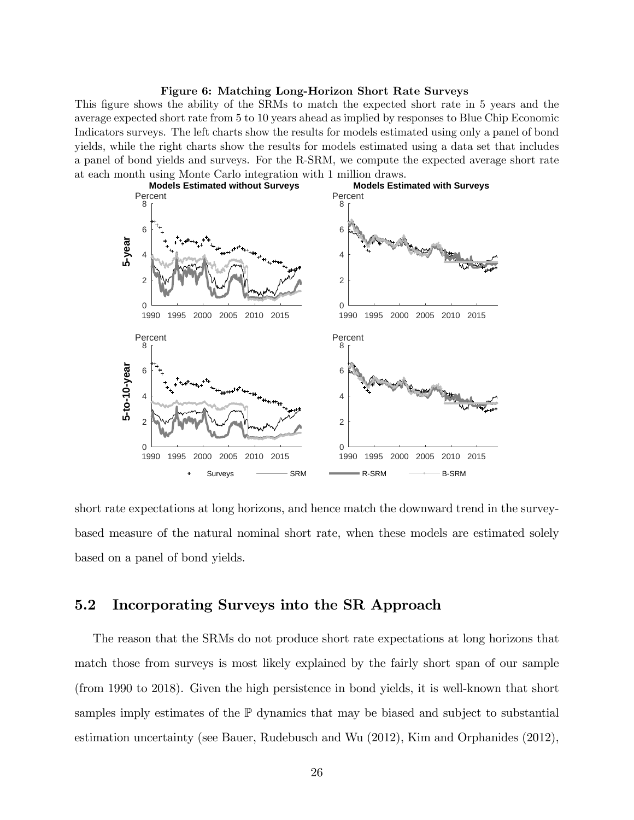#### Figure 6: Matching Long-Horizon Short Rate Surveys

This figure shows the ability of the SRMs to match the expected short rate in 5 years and the average expected short rate from 5 to 10 years ahead as implied by responses to Blue Chip Economic Indicators surveys. The left charts show the results for models estimated using only a panel of bond yields, while the right charts show the results for models estimated using a data set that includes a panel of bond yields and surveys. For the R-SRM, we compute the expected average short rate at each month using Monte Carlo integration with 1 million draws.



short rate expectations at long horizons, and hence match the downward trend in the surveybased measure of the natural nominal short rate, when these models are estimated solely based on a panel of bond yields.

#### 5.2 Incorporating Surveys into the SR Approach

The reason that the SRMs do not produce short rate expectations at long horizons that match those from surveys is most likely explained by the fairly short span of our sample (from 1990 to 2018). Given the high persistence in bond yields, it is well-known that short samples imply estimates of the  $\mathbb P$  dynamics that may be biased and subject to substantial estimation uncertainty (see Bauer, Rudebusch and Wu (2012), Kim and Orphanides (2012),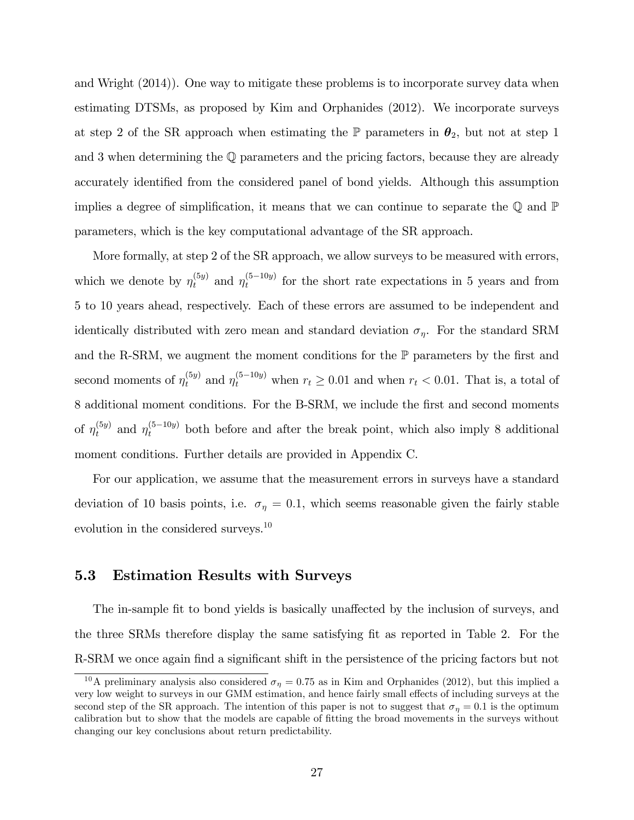and Wright (2014)). One way to mitigate these problems is to incorporate survey data when estimating DTSMs, as proposed by Kim and Orphanides (2012). We incorporate surveys at step 2 of the SR approach when estimating the  $\mathbb P$  parameters in  $\theta_2$ , but not at step 1 and 3 when determining the Q parameters and the pricing factors, because they are already accurately identified from the considered panel of bond yields. Although this assumption implies a degree of simplification, it means that we can continue to separate the  $\mathbb Q$  and  $\mathbb P$ parameters, which is the key computational advantage of the SR approach.

More formally, at step 2 of the SR approach, we allow surveys to be measured with errors, which we denote by  $\eta_t^{(5y)}$  and  $\eta_t^{(5-10y)}$  for the short rate expectations in 5 years and from 5 to 10 years ahead, respectively. Each of these errors are assumed to be independent and identically distributed with zero mean and standard deviation  $\sigma_{\eta}$ . For the standard SRM and the R-SRM, we augment the moment conditions for the  $\mathbb P$  parameters by the first and second moments of  $\eta_t^{(5y)}$  and  $\eta_t^{(5-10y)}$  when  $r_t \ge 0.01$  and when  $r_t < 0.01$ . That is, a total of 8 additional moment conditions. For the B-SRM, we include the first and second moments of  $\eta_t^{(5y)}$  and  $\eta_t^{(5-10y)}$  both before and after the break point, which also imply 8 additional moment conditions. Further details are provided in Appendix C.

For our application, we assume that the measurement errors in surveys have a standard deviation of 10 basis points, i.e.  $\sigma_{\eta} = 0.1$ , which seems reasonable given the fairly stable evolution in the considered surveys.<sup>10</sup>

#### 5.3 Estimation Results with Surveys

The in-sample fit to bond yields is basically unaffected by the inclusion of surveys, and the three SRMs therefore display the same satisfying fit as reported in Table 2. For the R-SRM we once again find a significant shift in the persistence of the pricing factors but not

<sup>&</sup>lt;sup>10</sup>A preliminary analysis also considered  $\sigma_{\eta} = 0.75$  as in Kim and Orphanides (2012), but this implied a very low weight to surveys in our GMM estimation, and hence fairly small effects of including surveys at the second step of the SR approach. The intention of this paper is not to suggest that  $\sigma_n = 0.1$  is the optimum calibration but to show that the models are capable of fitting the broad movements in the surveys without changing our key conclusions about return predictability.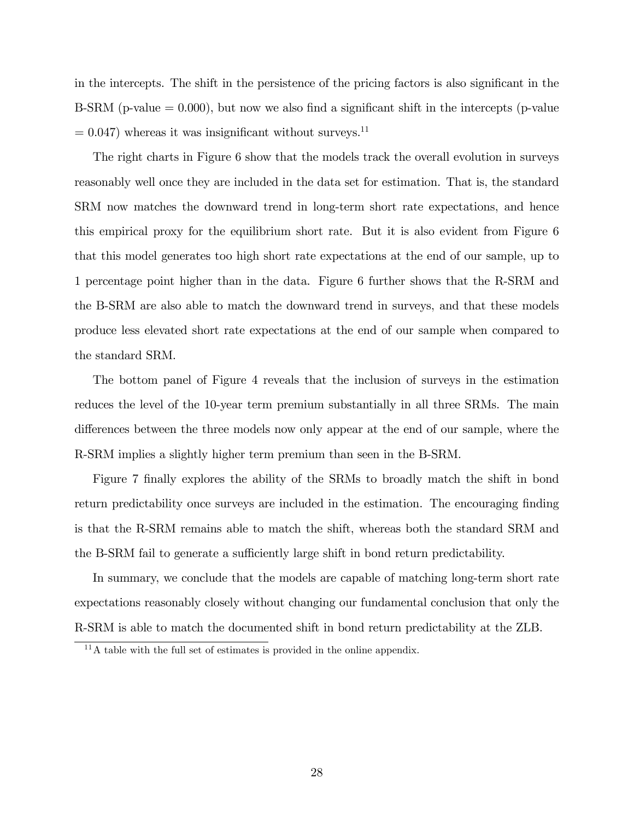in the intercepts. The shift in the persistence of the pricing factors is also significant in the B-SRM (p-value  $= 0.000$ ), but now we also find a significant shift in the intercepts (p-value  $= 0.047$ ) whereas it was insignificant without surveys.<sup>11</sup>

The right charts in Figure 6 show that the models track the overall evolution in surveys reasonably well once they are included in the data set for estimation. That is, the standard SRM now matches the downward trend in long-term short rate expectations, and hence this empirical proxy for the equilibrium short rate. But it is also evident from Figure 6 that this model generates too high short rate expectations at the end of our sample, up to 1 percentage point higher than in the data. Figure 6 further shows that the R-SRM and the B-SRM are also able to match the downward trend in surveys, and that these models produce less elevated short rate expectations at the end of our sample when compared to the standard SRM.

The bottom panel of Figure 4 reveals that the inclusion of surveys in the estimation reduces the level of the 10-year term premium substantially in all three SRMs. The main differences between the three models now only appear at the end of our sample, where the R-SRM implies a slightly higher term premium than seen in the B-SRM.

Figure 7 finally explores the ability of the SRMs to broadly match the shift in bond return predictability once surveys are included in the estimation. The encouraging finding is that the R-SRM remains able to match the shift, whereas both the standard SRM and the B-SRM fail to generate a sufficiently large shift in bond return predictability.

In summary, we conclude that the models are capable of matching long-term short rate expectations reasonably closely without changing our fundamental conclusion that only the R-SRM is able to match the documented shift in bond return predictability at the ZLB.

 $11<sup>11</sup>A$  table with the full set of estimates is provided in the online appendix.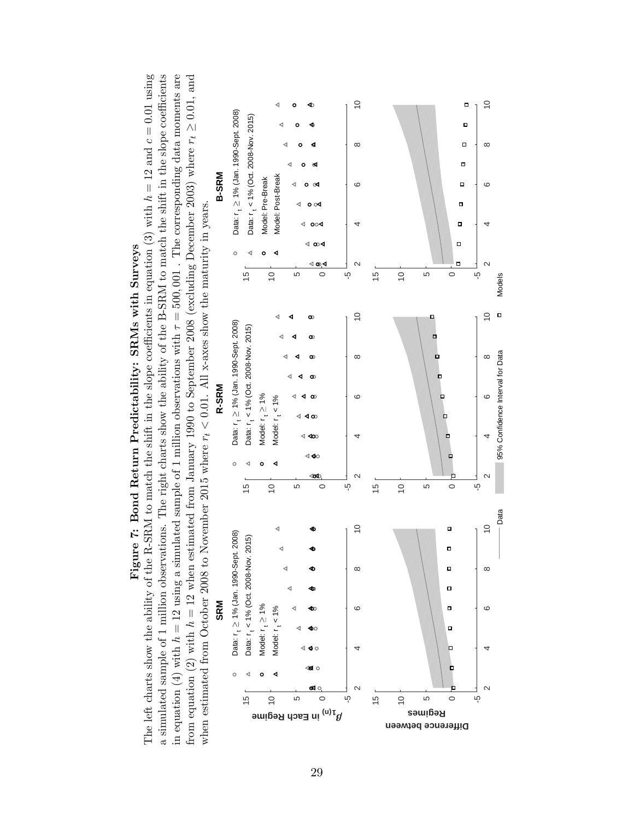

# Figure 7: Bond Return Predictability: SRMs with Surveys Figure 7: Bond Return Predictability: SRMs with Surveys

The left charts show the ability of the R-SRM to match the shift in the slope coefficients in equation (3) with  $h = 12$  and  $c = 0.01$  using in equation (4) with  $h = 12$  using a simulated sample of 1 million observations with  $\tau = 500,001$ . The corresponding data moments are a simulated sample of 1 million observations. The right charts show the ability of the B-SRM to match the shift in the slope coefficients from equation (2) with  $h = 12$  when estimated from January 1990 to September 2008 (excluding December 2003) where  $r_t \geq 0.01$ , and The left charts show the ability of the R-SRM to match the shift in the slope coefficients in equation (3) with  $h = 12$  and  $c = 0.01$  using a simulated sample of 1 million observations. The right charts show the ability of the B-SRM to match the shift in the slope coefficients in equation (4) with  $h = 12$  using a simulated sample of 1 million observations with  $\tau = 500,001$ . The corresponding data moments are from equation (2) with  $h = 12$  when estimated from January 1990 to September 2008 (excluding December 2003) where  $r_t \geq 0.01$ , and from  $\alpha$ ,  $\alpha$ when estimated from October 2008 to November 2015 where  $r_t < 0.01$ . All x-axes show the maturity in years. when estimated from October 2008 to November 2015 where  $r_t < 0.01$ . All x-axes show the maturity in years.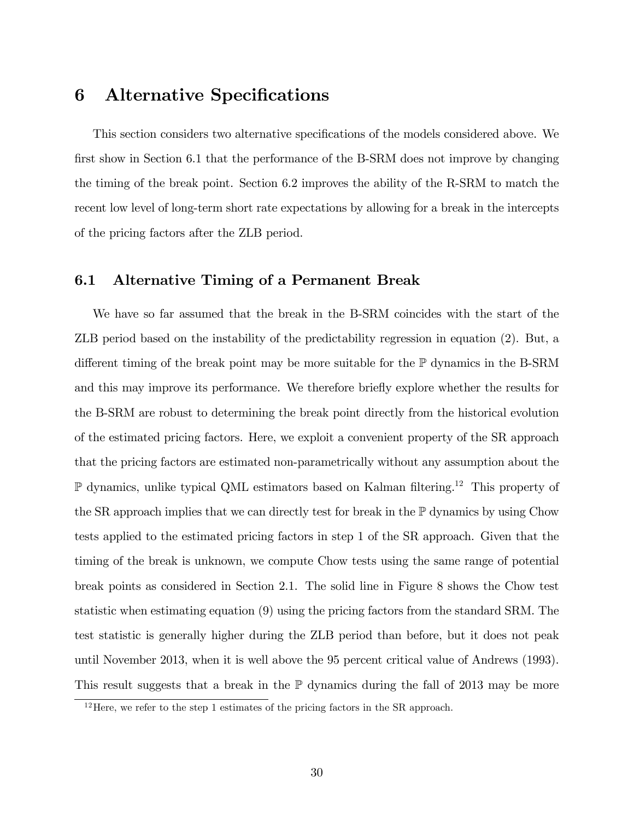# 6 Alternative Specifications

This section considers two alternative specifications of the models considered above. We first show in Section 6.1 that the performance of the B-SRM does not improve by changing the timing of the break point. Section 6.2 improves the ability of the R-SRM to match the recent low level of long-term short rate expectations by allowing for a break in the intercepts of the pricing factors after the ZLB period.

#### 6.1 Alternative Timing of a Permanent Break

We have so far assumed that the break in the B-SRM coincides with the start of the ZLB period based on the instability of the predictability regression in equation (2). But, a different timing of the break point may be more suitable for the  $\mathbb P$  dynamics in the B-SRM and this may improve its performance. We therefore brieáy explore whether the results for the B-SRM are robust to determining the break point directly from the historical evolution of the estimated pricing factors. Here, we exploit a convenient property of the SR approach that the pricing factors are estimated non-parametrically without any assumption about the  $\mathbb P$  dynamics, unlike typical QML estimators based on Kalman filtering.<sup>12</sup> This property of the SR approach implies that we can directly test for break in the  $\mathbb P$  dynamics by using Chow tests applied to the estimated pricing factors in step 1 of the SR approach. Given that the timing of the break is unknown, we compute Chow tests using the same range of potential break points as considered in Section 2.1. The solid line in Figure 8 shows the Chow test statistic when estimating equation (9) using the pricing factors from the standard SRM. The test statistic is generally higher during the ZLB period than before, but it does not peak until November 2013, when it is well above the 95 percent critical value of Andrews (1993). This result suggests that a break in the  $\mathbb P$  dynamics during the fall of 2013 may be more

<sup>&</sup>lt;sup>12</sup>Here, we refer to the step 1 estimates of the pricing factors in the SR approach.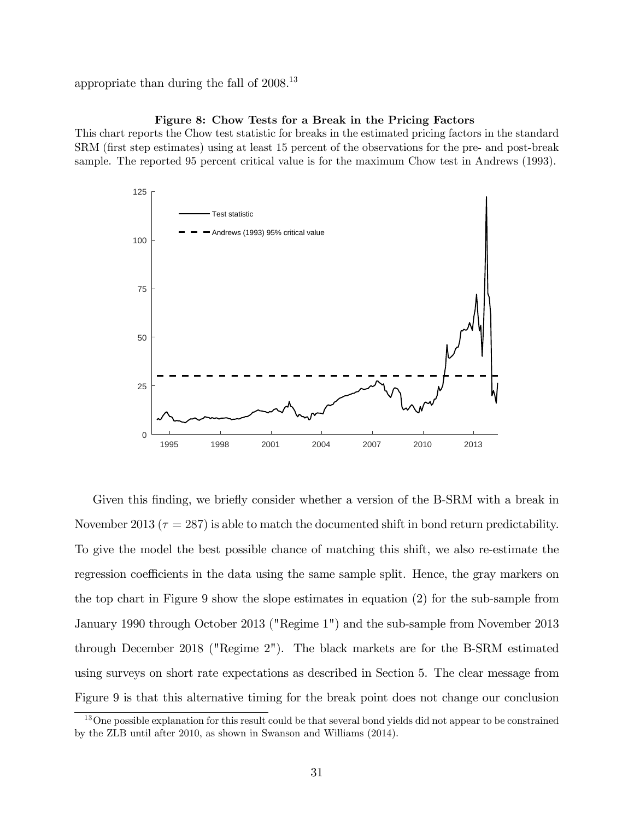appropriate than during the fall of 2008.<sup>13</sup>

#### Figure 8: Chow Tests for a Break in the Pricing Factors

This chart reports the Chow test statistic for breaks in the estimated pricing factors in the standard SRM (Örst step estimates) using at least 15 percent of the observations for the pre- and post-break sample. The reported 95 percent critical value is for the maximum Chow test in Andrews (1993).



Given this finding, we briefly consider whether a version of the B-SRM with a break in November 2013 ( $\tau = 287$ ) is able to match the documented shift in bond return predictability. To give the model the best possible chance of matching this shift, we also re-estimate the regression coefficients in the data using the same sample split. Hence, the gray markers on the top chart in Figure 9 show the slope estimates in equation (2) for the sub-sample from January 1990 through October 2013 ("Regime 1") and the sub-sample from November 2013 through December 2018 ("Regime 2"). The black markets are for the B-SRM estimated using surveys on short rate expectations as described in Section 5. The clear message from Figure 9 is that this alternative timing for the break point does not change our conclusion

<sup>&</sup>lt;sup>13</sup>One possible explanation for this result could be that several bond yields did not appear to be constrained by the ZLB until after 2010, as shown in Swanson and Williams (2014).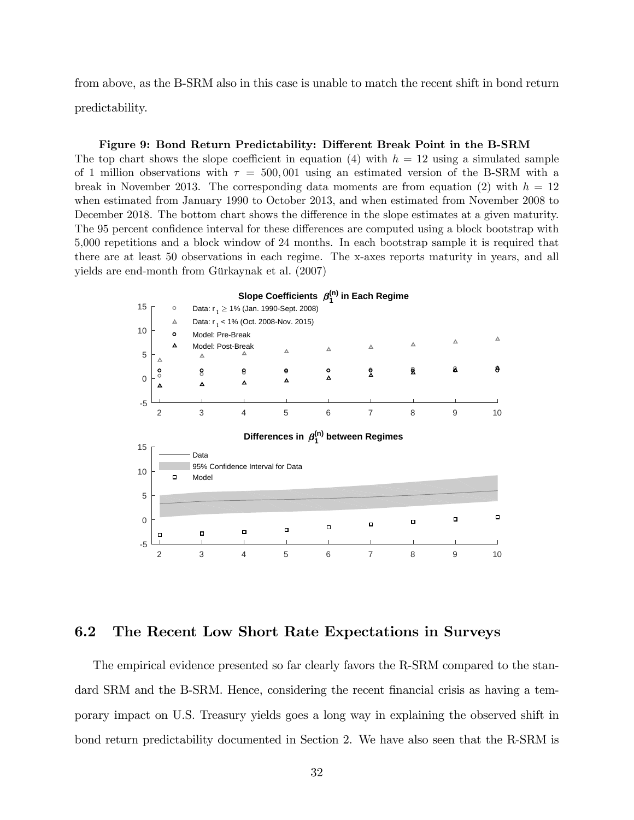from above, as the B-SRM also in this case is unable to match the recent shift in bond return predictability.

#### Figure 9: Bond Return Predictability: Different Break Point in the B-SRM

The top chart shows the slope coefficient in equation (4) with  $h = 12$  using a simulated sample of 1 million observations with  $\tau = 500,001$  using an estimated version of the B-SRM with a break in November 2013. The corresponding data moments are from equation (2) with  $h = 12$ when estimated from January 1990 to October 2013, and when estimated from November 2008 to December 2018. The bottom chart shows the difference in the slope estimates at a given maturity. The 95 percent confidence interval for these differences are computed using a block bootstrap with 5,000 repetitions and a block window of 24 months. In each bootstrap sample it is required that there are at least 50 observations in each regime. The x-axes reports maturity in years, and all yields are end-month from Gürkaynak et al. (2007)



#### 6.2 The Recent Low Short Rate Expectations in Surveys

The empirical evidence presented so far clearly favors the R-SRM compared to the standard SRM and the B-SRM. Hence, considering the recent financial crisis as having a temporary impact on U.S. Treasury yields goes a long way in explaining the observed shift in bond return predictability documented in Section 2. We have also seen that the R-SRM is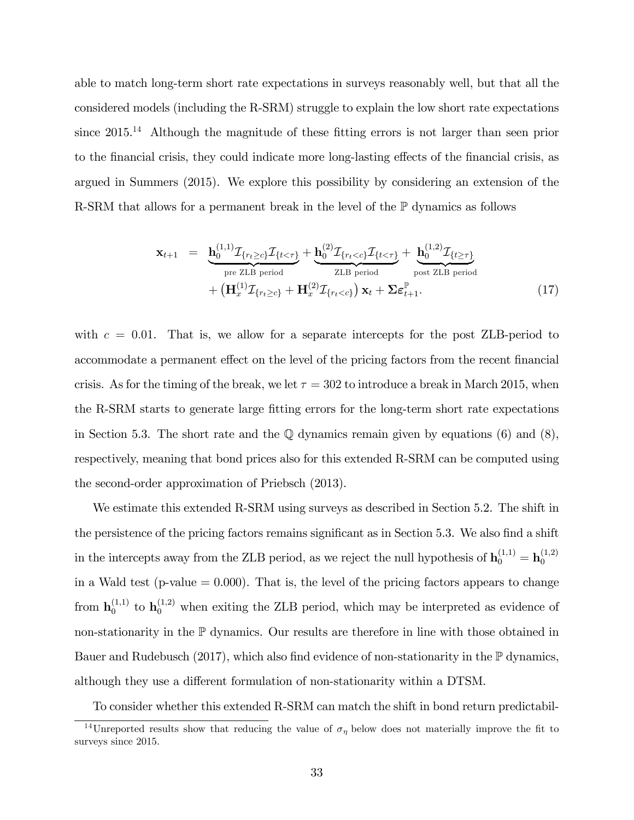able to match long-term short rate expectations in surveys reasonably well, but that all the considered models (including the R-SRM) struggle to explain the low short rate expectations since  $2015<sup>14</sup>$  Although the magnitude of these fitting errors is not larger than seen prior to the financial crisis, they could indicate more long-lasting effects of the financial crisis, as argued in Summers (2015). We explore this possibility by considering an extension of the R-SRM that allows for a permanent break in the level of the P dynamics as follows

$$
\mathbf{x}_{t+1} = \underbrace{\mathbf{h}_{0}^{(1,1)} \mathcal{I}_{\{r_{t}\geq c\}} \mathcal{I}_{\{t<\tau\}}} + \underbrace{\mathbf{h}_{0}^{(2)} \mathcal{I}_{\{r_{t}\n(17)
$$

with  $c = 0.01$ . That is, we allow for a separate intercepts for the post ZLB-period to accommodate a permanent effect on the level of the pricing factors from the recent financial crisis. As for the timing of the break, we let  $\tau = 302$  to introduce a break in March 2015, when the R-SRM starts to generate large fitting errors for the long-term short rate expectations in Section 5.3. The short rate and the  $\mathbb Q$  dynamics remain given by equations (6) and (8), respectively, meaning that bond prices also for this extended R-SRM can be computed using the second-order approximation of Priebsch (2013).

We estimate this extended R-SRM using surveys as described in Section 5.2. The shift in the persistence of the pricing factors remains significant as in Section 5.3. We also find a shift in the intercepts away from the ZLB period, as we reject the null hypothesis of  $\mathbf{h}_0^{(1,1)} = \mathbf{h}_0^{(1,2)}$ 0 in a Wald test ( $p$ -value  $= 0.000$ ). That is, the level of the pricing factors appears to change from  $\mathbf{h}_0^{(1,1)}$  $_0^{(1,1)}$  to  $\mathbf{h}_0^{(1,2)}$  when exiting the ZLB period, which may be interpreted as evidence of non-stationarity in the P dynamics. Our results are therefore in line with those obtained in Bauer and Rudebusch (2017), which also find evidence of non-stationarity in the  $\mathbb P$  dynamics, although they use a different formulation of non-stationarity within a DTSM.

To consider whether this extended R-SRM can match the shift in bond return predictabil-

<sup>&</sup>lt;sup>14</sup>Unreported results show that reducing the value of  $\sigma_{\eta}$  below does not materially improve the fit to surveys since 2015.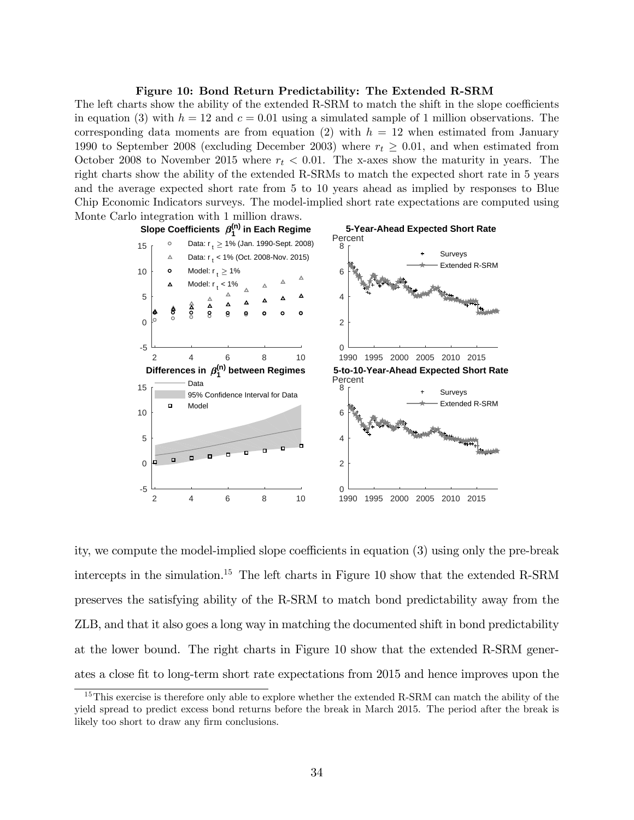#### Figure 10: Bond Return Predictability: The Extended R-SRM

The left charts show the ability of the extended R-SRM to match the shift in the slope coefficients in equation (3) with  $h = 12$  and  $c = 0.01$  using a simulated sample of 1 million observations. The corresponding data moments are from equation (2) with  $h = 12$  when estimated from January 1990 to September 2008 (excluding December 2003) where  $r_t \geq 0.01$ , and when estimated from October 2008 to November 2015 where  $r_t < 0.01$ . The x-axes show the maturity in years. The right charts show the ability of the extended R-SRMs to match the expected short rate in 5 years and the average expected short rate from 5 to 10 years ahead as implied by responses to Blue Chip Economic Indicators surveys. The model-implied short rate expectations are computed using Monte Carlo integration with 1 million draws.



ity, we compute the model-implied slope coefficients in equation  $(3)$  using only the pre-break intercepts in the simulation.<sup>15</sup> The left charts in Figure 10 show that the extended R-SRM preserves the satisfying ability of the R-SRM to match bond predictability away from the ZLB, and that it also goes a long way in matching the documented shift in bond predictability at the lower bound. The right charts in Figure 10 show that the extended R-SRM generates a close fit to long-term short rate expectations from 2015 and hence improves upon the

<sup>&</sup>lt;sup>15</sup>This exercise is therefore only able to explore whether the extended R-SRM can match the ability of the yield spread to predict excess bond returns before the break in March 2015. The period after the break is likely too short to draw any firm conclusions.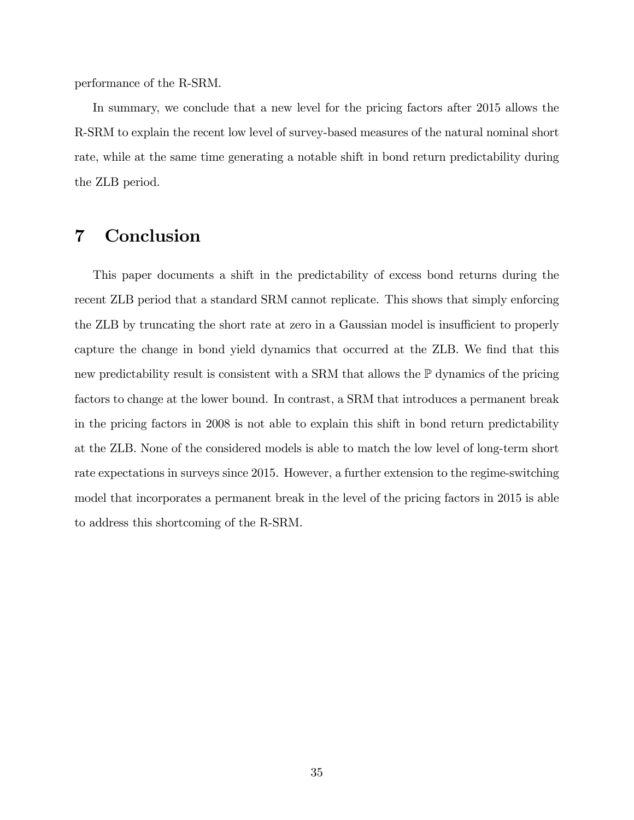performance of the R-SRM.

In summary, we conclude that a new level for the pricing factors after 2015 allows the R-SRM to explain the recent low level of survey-based measures of the natural nominal short rate, while at the same time generating a notable shift in bond return predictability during the ZLB period.

# 7 Conclusion

This paper documents a shift in the predictability of excess bond returns during the recent ZLB period that a standard SRM cannot replicate. This shows that simply enforcing the ZLB by truncating the short rate at zero in a Gaussian model is insufficient to properly capture the change in bond yield dynamics that occurred at the ZLB. We find that this new predictability result is consistent with a SRM that allows the P dynamics of the pricing factors to change at the lower bound. In contrast, a SRM that introduces a permanent break in the pricing factors in 2008 is not able to explain this shift in bond return predictability at the ZLB. None of the considered models is able to match the low level of long-term short rate expectations in surveys since 2015. However, a further extension to the regime-switching model that incorporates a permanent break in the level of the pricing factors in 2015 is able to address this shortcoming of the R-SRM.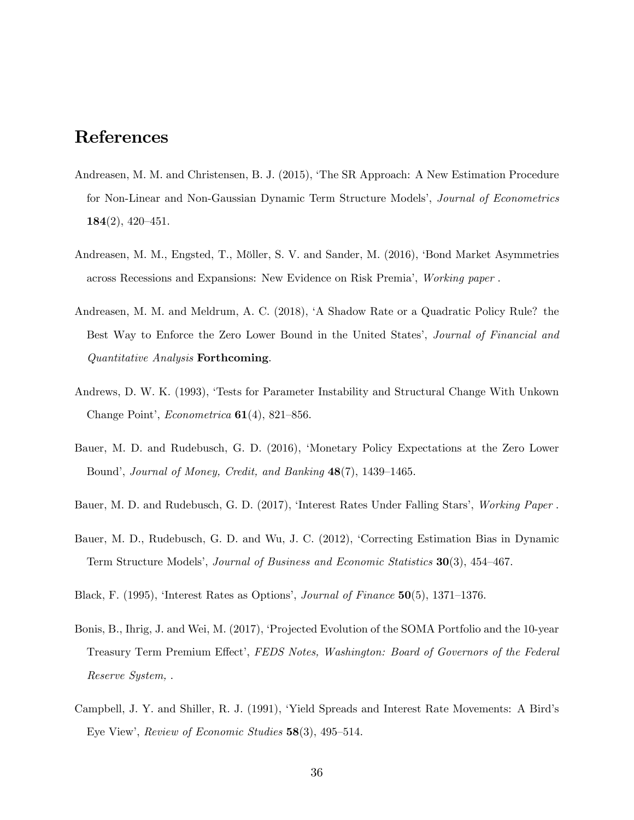# References

- Andreasen, M. M. and Christensen, B. J. (2015), ëThe SR Approach: A New Estimation Procedure for Non-Linear and Non-Gaussian Dynamic Term Structure Models', Journal of Econometrics  $184(2), 420 - 451.$
- Andreasen, M. M., Engsted, T., Möller, S. V. and Sander, M. (2016), 'Bond Market Asymmetries across Recessions and Expansions: New Evidence on Risk Premiaí, Working paper .
- Andreasen, M. M. and Meldrum, A. C. (2018), ëA Shadow Rate or a Quadratic Policy Rule? the Best Way to Enforce the Zero Lower Bound in the United States', *Journal of Financial and* Quantitative Analysis Forthcoming.
- Andrews, D. W. K. (1993), 'Tests for Parameter Instability and Structural Change With Unkown Change Point', *Econometrica*  $61(4)$ , 821–856.
- Bauer, M. D. and Rudebusch, G. D. (2016), ëMonetary Policy Expectations at the Zero Lower Bound', Journal of Money, Credit, and Banking  $48(7)$ , 1439–1465.
- Bauer, M. D. and Rudebusch, G. D. (2017), 'Interest Rates Under Falling Stars', Working Paper.
- Bauer, M. D., Rudebusch, G. D. and Wu, J. C. (2012), 'Correcting Estimation Bias in Dynamic Term Structure Models', Journal of Business and Economic Statistics 30(3), 454–467.
- Black, F. (1995), 'Interest Rates as Options', Journal of Finance  $50(5)$ , 1371–1376.
- Bonis, B., Ihrig, J. and Wei, M. (2017), 'Projected Evolution of the SOMA Portfolio and the 10-year Treasury Term Premium Effect', FEDS Notes, Washington: Board of Governors of the Federal Reserve System, .
- Campbell, J. Y. and Shiller, R. J. (1991), 'Yield Spreads and Interest Rate Movements: A Bird's Eye View', Review of Economic Studies  $58(3)$ , 495–514.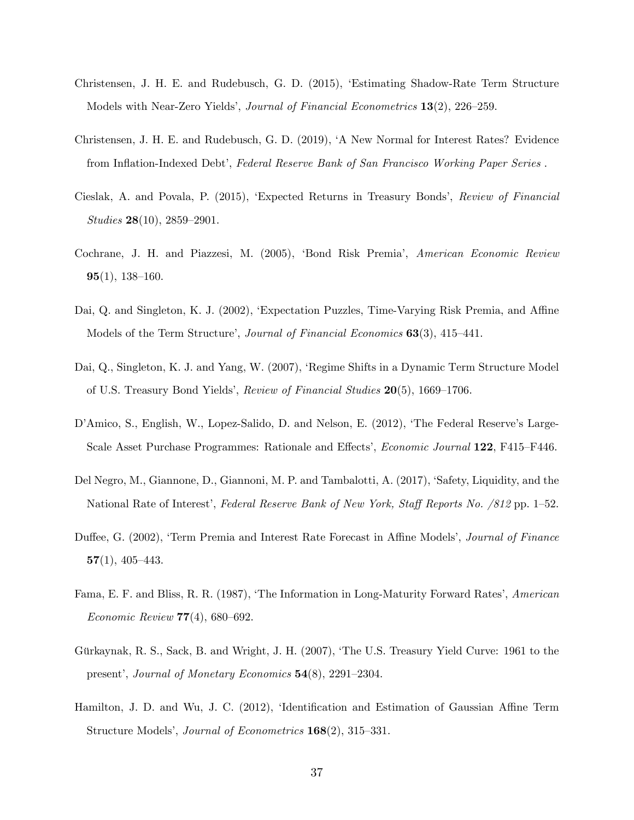- Christensen, J. H. E. and Rudebusch, G. D. (2015), ëEstimating Shadow-Rate Term Structure Models with Near-Zero Yields<sup>'</sup>, *Journal of Financial Econometrics*  $13(2)$ , 226–259.
- Christensen, J. H. E. and Rudebusch, G. D. (2019), ëA New Normal for Interest Rates? Evidence from Inflation-Indexed Debt', Federal Reserve Bank of San Francisco Working Paper Series.
- Cieslak, A. and Povala, P. (2015), 'Expected Returns in Treasury Bonds', Review of Financial Studies  $28(10)$ ,  $2859-2901$ .
- Cochrane, J. H. and Piazzesi, M. (2005), 'Bond Risk Premia', American Economic Review  $95(1), 138-160.$
- Dai, Q. and Singleton, K. J. (2002), 'Expectation Puzzles, Time-Varying Risk Premia, and Affine Models of the Term Structure', *Journal of Financial Economics*  $63(3)$ ,  $415-441$ .
- Dai, Q., Singleton, K. J. and Yang, W. (2007), 'Regime Shifts in a Dynamic Term Structure Model of U.S. Treasury Bond Yields', Review of Financial Studies  $20(5)$ , 1669–1706.
- D'Amico, S., English, W., Lopez-Salido, D. and Nelson, E. (2012), 'The Federal Reserve's Large-Scale Asset Purchase Programmes: Rationale and Effects', *Economic Journal* 122, F415–F446.
- Del Negro, M., Giannone, D., Giannoni, M. P. and Tambalotti, A. (2017), 'Safety, Liquidity, and the National Rate of Interest', Federal Reserve Bank of New York, Staff Reports No. (812 pp. 1–52.)
- Duffee, G. (2002), 'Term Premia and Interest Rate Forecast in Affine Models', Journal of Finance  $57(1)$ , 405-443.
- Fama, E. F. and Bliss, R. R. (1987), 'The Information in Long-Maturity Forward Rates', American Economic Review  $77(4)$ , 680–692.
- Gürkaynak, R. S., Sack, B. and Wright, J. H. (2007), 'The U.S. Treasury Yield Curve: 1961 to the present', Journal of Monetary Economics  $54(8)$ , 2291–2304.
- Hamilton, J. D. and Wu, J. C.  $(2012)$ , 'Identification and Estimation of Gaussian Affine Term Structure Models', *Journal of Econometrics*  $168(2)$ , 315–331.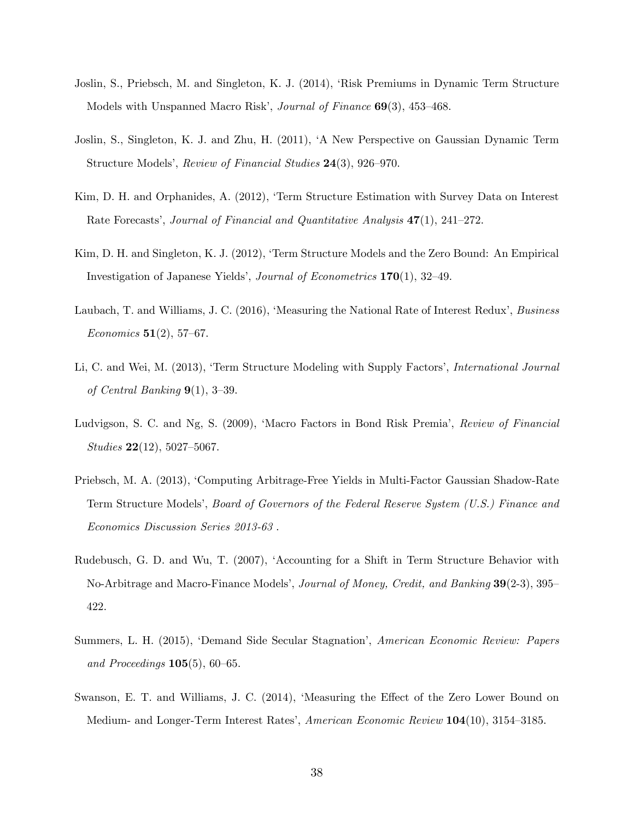- Joslin, S., Priebsch, M. and Singleton, K. J. (2014), ëRisk Premiums in Dynamic Term Structure Models with Unspanned Macro Risk', Journal of Finance  $69(3)$ , 453–468.
- Joslin, S., Singleton, K. J. and Zhu, H. (2011), ëA New Perspective on Gaussian Dynamic Term Structure Models', Review of Financial Studies  $24(3)$ , 926–970.
- Kim, D. H. and Orphanides, A. (2012), 'Term Structure Estimation with Survey Data on Interest Rate Forecasts', Journal of Financial and Quantitative Analysis  $47(1)$ , 241–272.
- Kim, D. H. and Singleton, K. J. (2012), 'Term Structure Models and the Zero Bound: An Empirical Investigation of Japanese Yields<sup>'</sup>, *Journal of Econometrics*  $170(1)$ , 32–49.
- Laubach, T. and Williams, J. C. (2016), 'Measuring the National Rate of Interest Redux', Business Economics  $51(2)$ , 57–67.
- Li, C. and Wei, M. (2013), 'Term Structure Modeling with Supply Factors', *International Journal* of Central Banking  $9(1)$ ,  $3-39$ .
- Ludvigson, S. C. and Ng, S. (2009), 'Macro Factors in Bond Risk Premia', Review of Financial  $Studies 22(12), 5027–5067.$
- Priebsch, M. A. (2013), ëComputing Arbitrage-Free Yields in Multi-Factor Gaussian Shadow-Rate Term Structure Modelsí, Board of Governors of the Federal Reserve System (U.S.) Finance and Economics Discussion Series 2013-63 .
- Rudebusch, G. D. and Wu, T. (2007), 'Accounting for a Shift in Term Structure Behavior with No-Arbitrage and Macro-Finance Models', Journal of Money, Credit, and Banking 39(2-3), 395– 422.
- Summers, L. H. (2015), 'Demand Side Secular Stagnation', American Economic Review: Papers and Proceedings  $105(5)$ , 60–65.
- Swanson, E. T. and Williams, J. C. (2014), 'Measuring the Effect of the Zero Lower Bound on Medium- and Longer-Term Interest Rates', American Economic Review 104(10), 3154–3185.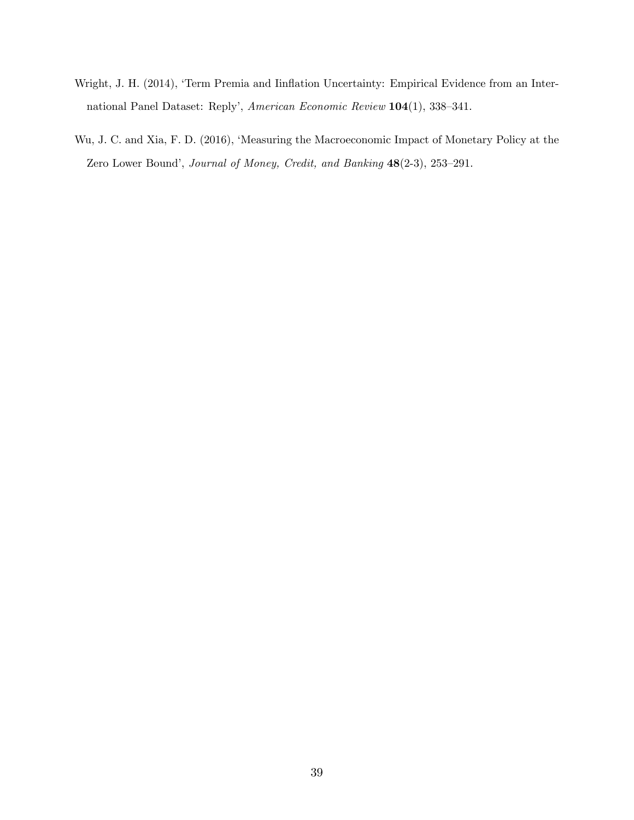- Wright, J. H. (2014), 'Term Premia and Iinflation Uncertainty: Empirical Evidence from an International Panel Dataset: Reply', American Economic Review  $104(1)$ , 338–341.
- Wu, J. C. and Xia, F. D. (2016), 'Measuring the Macroeconomic Impact of Monetary Policy at the Zero Lower Bound', Journal of Money, Credit, and Banking  $48(2-3)$ , 253-291.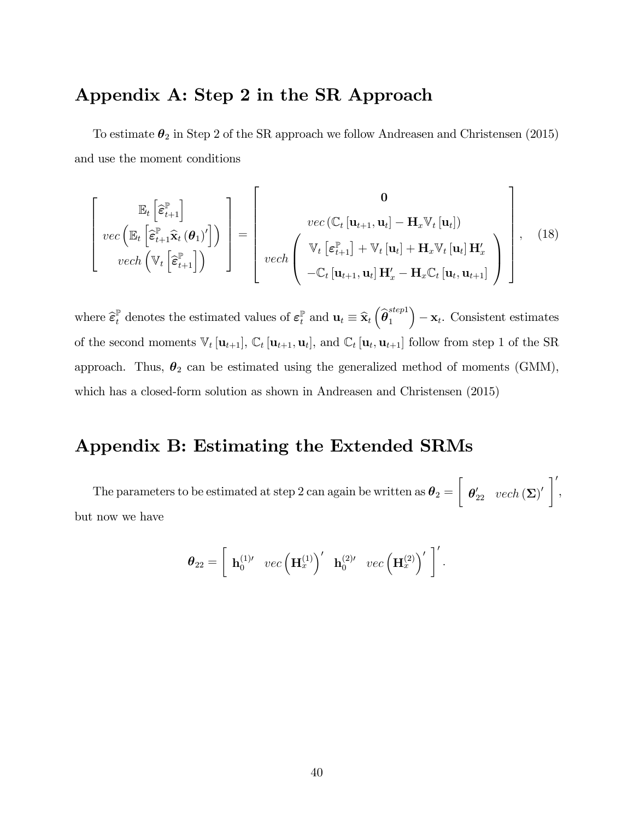# Appendix A: Step 2 in the SR Approach

To estimate  $\pmb{\theta}_2$  in Step 2 of the SR approach we follow Andreasen and Christensen (2015) and use the moment conditions

$$
\begin{bmatrix}\n\mathbb{E}_{t}\left[\hat{\boldsymbol{\varepsilon}}_{t+1}^{\mathbb{P}}\right] & \n\text{vec}\left(\mathbb{E}_{t}\left[\hat{\boldsymbol{\varepsilon}}_{t+1}^{\mathbb{P}}\hat{\mathbf{x}}_{t}\left(\boldsymbol{\theta}_{1}\right)^{\prime}\right]\right) \\
\text{vec}\left(\mathbb{E}_{t}\left[\hat{\boldsymbol{\varepsilon}}_{t+1}^{\mathbb{P}}\hat{\mathbf{x}}_{t}\left(\boldsymbol{\theta}_{1}\right)^{\prime}\right]\right) & \n\end{bmatrix} = \begin{bmatrix}\n\mathbf{0} & \n\text{vec}\left(\mathbb{C}_{t}\left[\mathbf{u}_{t+1}, \mathbf{u}_{t}\right] - \mathbf{H}_{x}\mathbb{V}_{t}\left[\mathbf{u}_{t}\right]\right) \\
\text{vec}\left(\mathbb{E}_{t+1}^{\mathbb{P}}\right) + \mathbb{V}_{t}\left[\mathbf{u}_{t}\right] + \mathbf{H}_{x}\mathbb{V}_{t}\left[\mathbf{u}_{t}\right] \mathbf{H}_{x}^{\prime} \\
-\mathbb{C}_{t}\left[\mathbf{u}_{t+1}, \mathbf{u}_{t}\right] \mathbf{H}_{x}^{\prime} - \mathbf{H}_{x}\mathbb{C}_{t}\left[\mathbf{u}_{t}, \mathbf{u}_{t+1}\right]\n\end{bmatrix},\n\quad(18)
$$

where  $\hat{\boldsymbol{\varepsilon}}_t^{\mathbb{P}}$  denotes the estimated values of  $\boldsymbol{\varepsilon}_t^{\mathbb{P}}$  and  $\mathbf{u}_t \equiv \hat{\mathbf{x}}_t \left( \hat{\boldsymbol{\theta}}_1^{step1} \right)$ 1  $\Big) - \mathbf{x}_t$ . Consistent estimates of the second moments  $\mathbb{V}_t[\mathbf{u}_{t+1}], \mathbb{C}_t[\mathbf{u}_{t+1}, \mathbf{u}_t],$  and  $\mathbb{C}_t[\mathbf{u}_t, \mathbf{u}_{t+1}]$  follow from step 1 of the SR approach. Thus,  $\theta_2$  can be estimated using the generalized method of moments (GMM), which has a closed-form solution as shown in Andreasen and Christensen (2015)

# Appendix B: Estimating the Extended SRMs

The parameters to be estimated at step 2 can again be written as  $\boldsymbol{\theta}_2 =$  $\sqrt{ }$  $\boldsymbol{\theta}_{22}^{\prime} \hspace{0.2cm} vech\left(\boldsymbol{\Sigma}\right)^{\prime}\ \bigg]^{\prime}$ , but now we have

$$
\boldsymbol{\theta}_{22} = \left[ \begin{array}{cc} \mathbf{h}_0^{(1)\prime} & vec\left(\mathbf{H}_x^{(1)}\right)^\prime & \mathbf{h}_0^{(2)\prime} & vec\left(\mathbf{H}_x^{(2)}\right)^\prime \end{array} \right]^\prime.
$$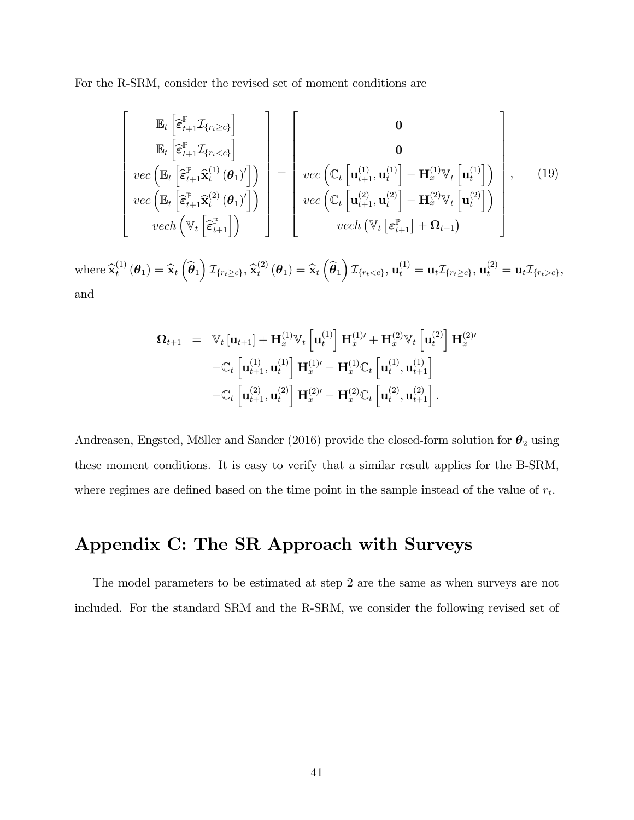For the R-SRM, consider the revised set of moment conditions are

$$
\begin{bmatrix}\n\mathbb{E}_{t}\left[\hat{\boldsymbol{\varepsilon}}_{t+1}^{\mathbb{P}}\mathcal{I}_{\{r_{t}\geq c\}}\right] \\
\mathbb{E}_{t}\left[\hat{\boldsymbol{\varepsilon}}_{t+1}^{\mathbb{P}}\mathcal{I}_{\{r_{t}<< c\}}\right] \\
vec{\mathbb{E}}_{t}\left[\hat{\boldsymbol{\varepsilon}}_{t+1}^{\mathbb{P}}\hat{\mathbf{x}}_{t}^{(1)}\left(\boldsymbol{\theta}_{1}\right)'\right] \\
vec{\mathbb{E}}_{t}\left[\hat{\boldsymbol{\varepsilon}}_{t+1}^{\mathbb{P}}\hat{\mathbf{x}}_{t}^{(2)}\left(\boldsymbol{\theta}_{1}\right)'\right]\n\end{bmatrix} = \begin{bmatrix}\n\mathbf{0} \\
\mathbf{0} \\
\text{vec}\left(\mathbb{C}_{t}\left[\mathbf{u}_{t+1}^{(1)}, \mathbf{u}_{t}^{(1)}\right] - \mathbf{H}_{x}^{(1)}\mathbb{V}_{t}\left[\mathbf{u}_{t}^{(1)}\right]\right) \\
\text{vec}\left(\mathbb{E}_{t}\left[\hat{\boldsymbol{\varepsilon}}_{t+1}^{\mathbb{P}}\hat{\mathbf{x}}_{t}^{(2)}\left(\boldsymbol{\theta}_{1}\right)'\right]\right)\n\end{bmatrix}, \quad (19)
$$
\n
$$
\text{vec}\left(\mathbb{C}_{t}\left[\mathbf{u}_{t+1}^{(2)}, \mathbf{u}_{t}^{(2)}\right] - \mathbf{H}_{x}^{(2)}\mathbb{V}_{t}\left[\mathbf{u}_{t}^{(2)}\right]\right)
$$

where  $\widehat{\mathbf{x}}_t^{(1)}$  $\hat{\mathbf{x}}_t^{(1)}\left(\boldsymbol{\theta}_1\right) = \widehat{\mathbf{x}}_t\left(\widehat{\boldsymbol{\theta}}_1\right) \mathcal{I}_{\left\{r_t \geq c\right\}}, \widehat{\mathbf{x}}_t^{(2)}$  $\mathbf{u}_t^{(2)}\left(\boldsymbol{\theta}_1\right) = \mathbf{\widehat{x}}_t\left(\widehat{\boldsymbol{\theta}}_1\right)\boldsymbol{\mathcal{I}}_{\left\lbrace r_t < c \right\rbrace}, \mathbf{u}_t^{(1)} = \mathbf{u}_t \boldsymbol{\mathcal{I}}_{\left\lbrace r_t \geq c \right\rbrace}, \mathbf{u}_t^{(2)} = \mathbf{u}_t \boldsymbol{\mathcal{I}}_{\left\lbrace r_t > c \right\rbrace},$ and

$$
\mathbf{\Omega}_{t+1} = \mathbb{V}_{t} [\mathbf{u}_{t+1}] + \mathbf{H}_{x}^{(1)} \mathbb{V}_{t} [\mathbf{u}_{t}^{(1)}] \mathbf{H}_{x}^{(1)\prime} + \mathbf{H}_{x}^{(2)} \mathbb{V}_{t} [\mathbf{u}_{t}^{(2)}] \mathbf{H}_{x}^{(2)\prime} \n- \mathbb{C}_{t} [\mathbf{u}_{t+1}^{(1)}, \mathbf{u}_{t}^{(1)}] \mathbf{H}_{x}^{(1)\prime} - \mathbf{H}_{x}^{(1)} \mathbb{C}_{t} [\mathbf{u}_{t}^{(1)}, \mathbf{u}_{t+1}^{(1)}] \n- \mathbb{C}_{t} [\mathbf{u}_{t+1}^{(2)}, \mathbf{u}_{t}^{(2)}] \mathbf{H}_{x}^{(2)\prime} - \mathbf{H}_{x}^{(2)} \mathbb{C}_{t} [\mathbf{u}_{t}^{(2)}, \mathbf{u}_{t+1}^{(2)}].
$$

Andreasen, Engsted, Möller and Sander (2016) provide the closed-form solution for  $\theta_2$  using these moment conditions. It is easy to verify that a similar result applies for the B-SRM, where regimes are defined based on the time point in the sample instead of the value of  $r_t$ .

# Appendix C: The SR Approach with Surveys

The model parameters to be estimated at step 2 are the same as when surveys are not included. For the standard SRM and the R-SRM, we consider the following revised set of